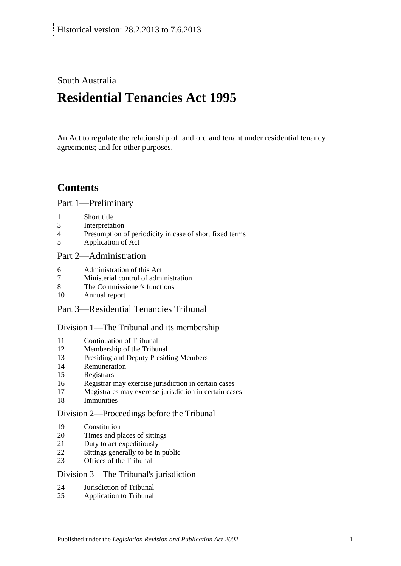## South Australia

# **Residential Tenancies Act 1995**

An Act to regulate the relationship of landlord and tenant under residential tenancy agreements; and for other purposes.

## **Contents**

[Part 1—Preliminary](#page-4-0)

- [Short title](#page-4-1)
- [Interpretation](#page-5-0)
- [Presumption of periodicity in case of short fixed terms](#page-7-0)
- [Application of Act](#page-7-1)

### [Part 2—Administration](#page-8-0)

- [Administration of this Act](#page-8-1)
- [Ministerial control of administration](#page-8-2)
- [The Commissioner's functions](#page-9-0)
- [Annual report](#page-9-1)
- Part [3—Residential Tenancies Tribunal](#page-9-2)

#### [Division 1—The Tribunal and its membership](#page-9-3)

- [Continuation of Tribunal](#page-9-4)
- [Membership of the Tribunal](#page-9-5)
- [Presiding and Deputy Presiding Members](#page-10-0)
- [Remuneration](#page-10-1)
- [Registrars](#page-10-2)
- [Registrar may exercise jurisdiction in certain cases](#page-10-3)
- [Magistrates may exercise jurisdiction in certain cases](#page-11-0)
- [Immunities](#page-11-1)

#### [Division 2—Proceedings before the Tribunal](#page-11-2)

- [Constitution](#page-11-3)
- [Times and places of sittings](#page-11-4)
- [Duty to act expeditiously](#page-11-5)
- [Sittings generally to be in public](#page-11-6)
- [Offices of the Tribunal](#page-11-7)

#### [Division 3—The Tribunal's jurisdiction](#page-12-0)

- [Jurisdiction of Tribunal](#page-12-1)
- [Application to Tribunal](#page-12-2)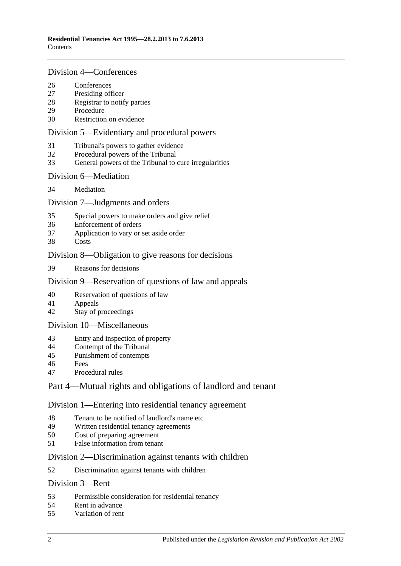#### [Division 4—Conferences](#page-13-0)

- [Conferences](#page-13-1)<br>27 Presiding off
- [Presiding officer](#page-13-2)
- [Registrar to notify parties](#page-13-3)
- [Procedure](#page-13-4)
- [Restriction on evidence](#page-13-5)

#### [Division 5—Evidentiary and procedural powers](#page-14-0)

- [Tribunal's powers to gather evidence](#page-14-1)
- [Procedural powers of the Tribunal](#page-14-2)
- [General powers of the Tribunal to cure irregularities](#page-15-0)

#### [Division 6—Mediation](#page-15-1)

[Mediation](#page-15-2)

#### [Division 7—Judgments and orders](#page-16-0)

- [Special powers to make orders and give relief](#page-16-1)
- [Enforcement of orders](#page-16-2)
- [Application to vary or set aside order](#page-16-3)
- [Costs](#page-16-4)

#### [Division 8—Obligation to give reasons for decisions](#page-17-0)

[Reasons for decisions](#page-17-1)

#### [Division 9—Reservation of questions of law and appeals](#page-17-2)

- [Reservation of questions of law](#page-17-3)
- [Appeals](#page-17-4)
- [Stay of proceedings](#page-17-5)

#### [Division 10—Miscellaneous](#page-17-6)

- [Entry and inspection of property](#page-17-7)
- [Contempt of the Tribunal](#page-18-0)
- [Punishment of contempts](#page-18-1)
- [Fees](#page-18-2)
- [Procedural rules](#page-18-3)

### [Part 4—Mutual rights and obligations of landlord and tenant](#page-19-0)

#### [Division 1—Entering into residential tenancy agreement](#page-19-1)

- [Tenant to be notified of landlord's name etc](#page-19-2)
- [Written residential tenancy agreements](#page-19-3)<br>50 Cost of preparing agreement
- [Cost of preparing agreement](#page-20-0)
- [False information from tenant](#page-20-1)

#### [Division 2—Discrimination against tenants with children](#page-20-2)

[Discrimination against tenants with children](#page-20-3)

#### [Division 3—Rent](#page-20-4)

- [Permissible consideration for residential tenancy](#page-20-5)
- [Rent in advance](#page-21-0)
- [Variation of rent](#page-21-1)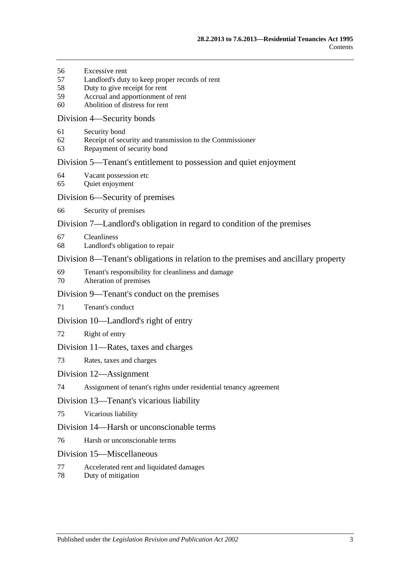- [Excessive rent](#page-22-0)
- [Landlord's duty to keep proper records of rent](#page-23-0)
- [Duty to give receipt for rent](#page-23-1)
- [Accrual and apportionment of rent](#page-23-2)
- [Abolition of distress for rent](#page-24-0)

#### [Division 4—Security bonds](#page-24-1)

- [Security bond](#page-24-2)
- [Receipt of security and transmission to the Commissioner](#page-24-3)
- [Repayment of security bond](#page-25-0)

#### [Division 5—Tenant's entitlement to possession and quiet enjoyment](#page-27-0)

- [Vacant possession etc](#page-27-1)
- [Quiet enjoyment](#page-27-2)

#### [Division 6—Security of premises](#page-28-0)

[Security of premises](#page-28-1)

#### [Division 7—Landlord's obligation in regard to condition of the premises](#page-28-2)

- [Cleanliness](#page-28-3)
- [Landlord's obligation to repair](#page-28-4)

#### [Division 8—Tenant's obligations in relation to the premises and ancillary property](#page-29-0)

- [Tenant's responsibility for cleanliness and damage](#page-29-1)
- [Alteration of premises](#page-30-0)

#### [Division 9—Tenant's conduct on the premises](#page-30-1)

[Tenant's conduct](#page-30-2)

#### [Division 10—Landlord's right of entry](#page-30-3)

[Right of entry](#page-30-4)

#### [Division 11—Rates, taxes and charges](#page-31-0)

[Rates, taxes and charges](#page-31-1)

#### [Division 12—Assignment](#page-32-0)

[Assignment of tenant's rights under residential tenancy agreement](#page-32-1)

#### [Division 13—Tenant's vicarious liability](#page-33-0)

[Vicarious liability](#page-33-1)

#### [Division 14—Harsh or unconscionable terms](#page-33-2)

[Harsh or unconscionable terms](#page-33-3)

#### [Division 15—Miscellaneous](#page-33-4)

- [Accelerated rent and liquidated damages](#page-33-5)
- [Duty of mitigation](#page-34-0)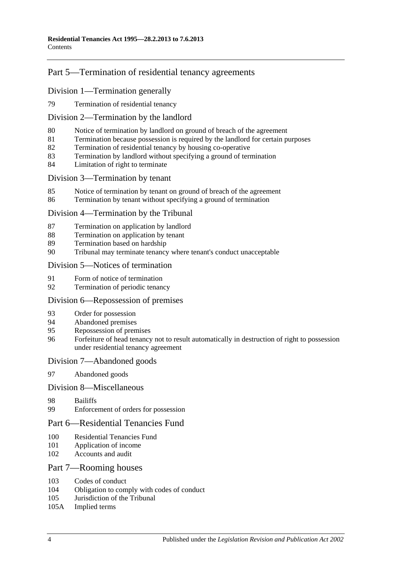## [Part 5—Termination of residential tenancy agreements](#page-34-1)

#### [Division 1—Termination generally](#page-34-2)

[Termination of residential tenancy](#page-34-3)

#### [Division 2—Termination by the landlord](#page-34-4)

- [Notice of termination by landlord on ground of breach of the agreement](#page-34-5)
- [Termination because possession is required by the landlord for certain purposes](#page-35-0)
- [Termination of residential tenancy by housing co-operative](#page-36-0)
- [Termination by landlord without specifying a ground of termination](#page-36-1)
- [Limitation of right to terminate](#page-37-0)

#### [Division 3—Termination by tenant](#page-37-1)

- [Notice of termination by tenant on ground of breach of the agreement](#page-37-2)
- [Termination by tenant without specifying a ground of termination](#page-37-3)

#### [Division 4—Termination by the Tribunal](#page-38-0)

- [Termination on application by landlord](#page-38-1)
- [Termination on application by tenant](#page-38-2)
- [Termination based on hardship](#page-38-3)
- [Tribunal may terminate tenancy where tenant's conduct unacceptable](#page-39-0)

#### [Division 5—Notices of termination](#page-39-1)

- [Form of notice of termination](#page-39-2)
- [Termination of periodic tenancy](#page-40-0)

#### [Division 6—Repossession of premises](#page-40-1)

- [Order for possession](#page-40-2)
- [Abandoned premises](#page-41-0)
- [Repossession of premises](#page-41-1)
- [Forfeiture of head tenancy not to result automatically in destruction of right to possession](#page-42-0)  [under residential tenancy agreement](#page-42-0)

#### [Division 7—Abandoned goods](#page-42-1)

[Abandoned goods](#page-42-2)

#### [Division 8—Miscellaneous](#page-43-0)

- [Bailiffs](#page-43-1)
- [Enforcement of orders for possession](#page-43-2)

#### [Part 6—Residential Tenancies Fund](#page-44-0)

- [Residential Tenancies Fund](#page-44-1)
- [Application of income](#page-44-2)
- [Accounts and audit](#page-45-0)

#### [Part 7—Rooming houses](#page-45-1)

- [Codes of conduct](#page-45-2)<br>104 Obligation to com
- [Obligation to comply with codes of conduct](#page-45-3)
- [Jurisdiction of the Tribunal](#page-45-4)
- 105A [Implied terms](#page-45-5)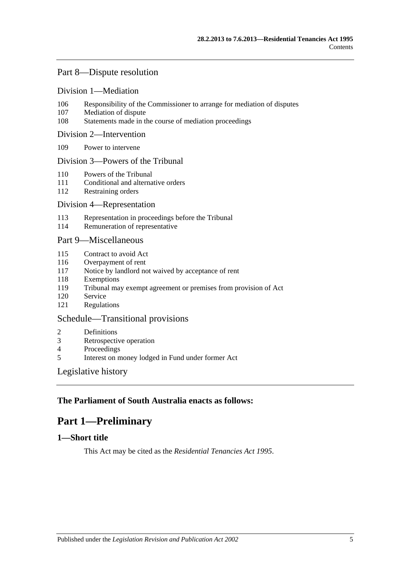### [Part 8—Dispute resolution](#page-45-6)

#### [Division 1—Mediation](#page-45-7)

- 106 [Responsibility of the Commissioner to arrange for mediation of disputes](#page-45-8)
- 107 [Mediation of dispute](#page-45-9)
- 108 [Statements made in the course of mediation proceedings](#page-46-0)

#### [Division 2—Intervention](#page-46-1)

109 [Power to intervene](#page-46-2)

#### [Division 3—Powers of the Tribunal](#page-46-3)

- 110 [Powers of the Tribunal](#page-46-4)
- 111 [Conditional and alternative orders](#page-47-0)
- 112 [Restraining orders](#page-47-1)

#### [Division 4—Representation](#page-47-2)

- 113 [Representation in proceedings before the Tribunal](#page-47-3)
- 114 [Remuneration of representative](#page-48-0)

#### [Part 9—Miscellaneous](#page-48-1)

- 115 [Contract to avoid Act](#page-48-2)
- 116 [Overpayment of rent](#page-48-3)
- 117 [Notice by landlord not waived by acceptance of rent](#page-49-0)
- 118 [Exemptions](#page-49-1)
- 119 [Tribunal may exempt agreement or premises from provision of Act](#page-49-2)
- 120 [Service](#page-49-3)
- 121 [Regulations](#page-49-4)

#### [Schedule—Transitional provisions](#page-50-0)

- 2 [Definitions](#page-50-1)
- 3 [Retrospective operation](#page-50-2)
- 4 [Proceedings](#page-50-3)<br>5 Interest on m
- 5 [Interest on money lodged in Fund under former Act](#page-50-4)

#### [Legislative history](#page-51-0)

### <span id="page-4-0"></span>**The Parliament of South Australia enacts as follows:**

## **Part 1—Preliminary**

### <span id="page-4-1"></span>**1—Short title**

This Act may be cited as the *Residential Tenancies Act 1995*.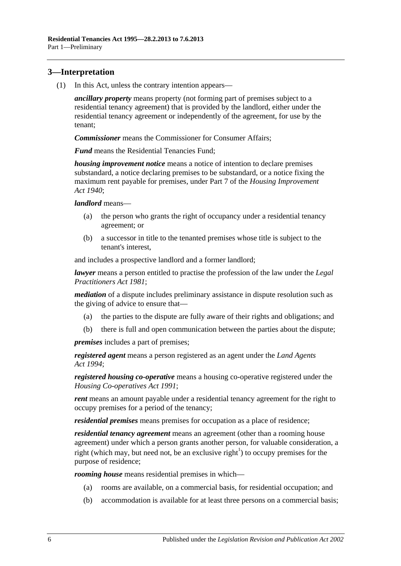## <span id="page-5-0"></span>**3—Interpretation**

(1) In this Act, unless the contrary intention appears—

*ancillary property* means property (not forming part of premises subject to a residential tenancy agreement) that is provided by the landlord, either under the residential tenancy agreement or independently of the agreement, for use by the tenant;

*Commissioner* means the Commissioner for Consumer Affairs;

*Fund* means the Residential Tenancies Fund;

*housing improvement notice* means a notice of intention to declare premises substandard, a notice declaring premises to be substandard, or a notice fixing the maximum rent payable for premises, under Part 7 of the *[Housing Improvement](http://www.legislation.sa.gov.au/index.aspx?action=legref&type=act&legtitle=Housing%20Improvement%20Act%201940)  Act [1940](http://www.legislation.sa.gov.au/index.aspx?action=legref&type=act&legtitle=Housing%20Improvement%20Act%201940)*;

*landlord* means—

- (a) the person who grants the right of occupancy under a residential tenancy agreement; or
- (b) a successor in title to the tenanted premises whose title is subject to the tenant's interest,

and includes a prospective landlord and a former landlord;

*lawyer* means a person entitled to practise the profession of the law under the *[Legal](http://www.legislation.sa.gov.au/index.aspx?action=legref&type=act&legtitle=Legal%20Practitioners%20Act%201981)  [Practitioners Act](http://www.legislation.sa.gov.au/index.aspx?action=legref&type=act&legtitle=Legal%20Practitioners%20Act%201981) 1981*;

*mediation* of a dispute includes preliminary assistance in dispute resolution such as the giving of advice to ensure that—

- (a) the parties to the dispute are fully aware of their rights and obligations; and
- (b) there is full and open communication between the parties about the dispute;

*premises* includes a part of premises;

*registered agent* means a person registered as an agent under the *[Land Agents](http://www.legislation.sa.gov.au/index.aspx?action=legref&type=act&legtitle=Land%20Agents%20Act%201994)  Act [1994](http://www.legislation.sa.gov.au/index.aspx?action=legref&type=act&legtitle=Land%20Agents%20Act%201994)*;

*registered housing co-operative* means a housing co-operative registered under the *[Housing Co-operatives Act](http://www.legislation.sa.gov.au/index.aspx?action=legref&type=act&legtitle=Housing%20Co-operatives%20Act%201991) 1991*;

*rent* means an amount payable under a residential tenancy agreement for the right to occupy premises for a period of the tenancy;

*residential premises* means premises for occupation as a place of residence;

*residential tenancy agreement* means an agreement (other than a rooming house agreement) under which a person grants another person, for valuable consideration, a right (which may, but need not, be an exclusive right<sup>1</sup>) to occupy premises for the purpose of residence;

*rooming house* means residential premises in which—

- (a) rooms are available, on a commercial basis, for residential occupation; and
- (b) accommodation is available for at least three persons on a commercial basis;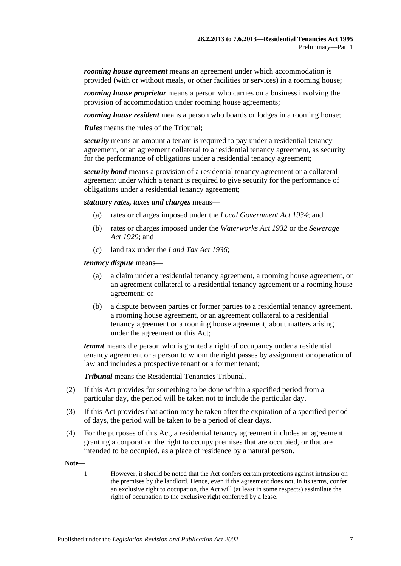*rooming house agreement* means an agreement under which accommodation is provided (with or without meals, or other facilities or services) in a rooming house;

*rooming house proprietor* means a person who carries on a business involving the provision of accommodation under rooming house agreements;

*rooming house resident* means a person who boards or lodges in a rooming house;

*Rules* means the rules of the Tribunal;

*security* means an amount a tenant is required to pay under a residential tenancy agreement, or an agreement collateral to a residential tenancy agreement, as security for the performance of obligations under a residential tenancy agreement;

*security bond* means a provision of a residential tenancy agreement or a collateral agreement under which a tenant is required to give security for the performance of obligations under a residential tenancy agreement;

*statutory rates, taxes and charges* means—

- (a) rates or charges imposed under the *[Local Government Act](http://www.legislation.sa.gov.au/index.aspx?action=legref&type=act&legtitle=Local%20Government%20Act%201934) 1934*; and
- (b) rates or charges imposed under the *[Waterworks Act](http://www.legislation.sa.gov.au/index.aspx?action=legref&type=act&legtitle=Waterworks%20Act%201932) 1932* or the *[Sewerage](http://www.legislation.sa.gov.au/index.aspx?action=legref&type=act&legtitle=Sewerage%20Act%201929)  Act [1929](http://www.legislation.sa.gov.au/index.aspx?action=legref&type=act&legtitle=Sewerage%20Act%201929)*; and
- (c) land tax under the *[Land Tax Act](http://www.legislation.sa.gov.au/index.aspx?action=legref&type=act&legtitle=Land%20Tax%20Act%201936) 1936*;

*tenancy dispute* means—

- (a) a claim under a residential tenancy agreement, a rooming house agreement, or an agreement collateral to a residential tenancy agreement or a rooming house agreement; or
- (b) a dispute between parties or former parties to a residential tenancy agreement, a rooming house agreement, or an agreement collateral to a residential tenancy agreement or a rooming house agreement, about matters arising under the agreement or this Act;

*tenant* means the person who is granted a right of occupancy under a residential tenancy agreement or a person to whom the right passes by assignment or operation of law and includes a prospective tenant or a former tenant;

*Tribunal* means the Residential Tenancies Tribunal.

- (2) If this Act provides for something to be done within a specified period from a particular day, the period will be taken not to include the particular day.
- (3) If this Act provides that action may be taken after the expiration of a specified period of days, the period will be taken to be a period of clear days.
- (4) For the purposes of this Act, a residential tenancy agreement includes an agreement granting a corporation the right to occupy premises that are occupied, or that are intended to be occupied, as a place of residence by a natural person.

**Note—**

1 However, it should be noted that the Act confers certain protections against intrusion on the premises by the landlord. Hence, even if the agreement does not, in its terms, confer an exclusive right to occupation, the Act will (at least in some respects) assimilate the right of occupation to the exclusive right conferred by a lease.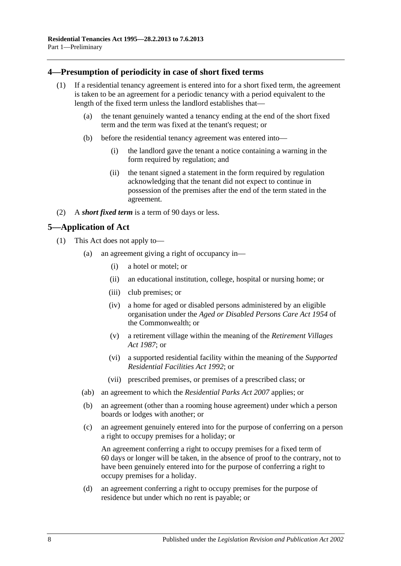### <span id="page-7-0"></span>**4—Presumption of periodicity in case of short fixed terms**

- (1) If a residential tenancy agreement is entered into for a short fixed term, the agreement is taken to be an agreement for a periodic tenancy with a period equivalent to the length of the fixed term unless the landlord establishes that—
	- (a) the tenant genuinely wanted a tenancy ending at the end of the short fixed term and the term was fixed at the tenant's request; or
	- (b) before the residential tenancy agreement was entered into—
		- (i) the landlord gave the tenant a notice containing a warning in the form required by regulation; and
		- (ii) the tenant signed a statement in the form required by regulation acknowledging that the tenant did not expect to continue in possession of the premises after the end of the term stated in the agreement.
- (2) A *short fixed term* is a term of 90 days or less.

## <span id="page-7-1"></span>**5—Application of Act**

- (1) This Act does not apply to—
	- (a) an agreement giving a right of occupancy in—
		- (i) a hotel or motel; or
		- (ii) an educational institution, college, hospital or nursing home; or
		- (iii) club premises; or
		- (iv) a home for aged or disabled persons administered by an eligible organisation under the *Aged or Disabled Persons Care Act 1954* of the Commonwealth; or
		- (v) a retirement village within the meaning of the *[Retirement Villages](http://www.legislation.sa.gov.au/index.aspx?action=legref&type=act&legtitle=Retirement%20Villages%20Act%201987)  Act [1987](http://www.legislation.sa.gov.au/index.aspx?action=legref&type=act&legtitle=Retirement%20Villages%20Act%201987)*; or
		- (vi) a supported residential facility within the meaning of the *[Supported](http://www.legislation.sa.gov.au/index.aspx?action=legref&type=act&legtitle=Supported%20Residential%20Facilities%20Act%201992)  [Residential Facilities Act](http://www.legislation.sa.gov.au/index.aspx?action=legref&type=act&legtitle=Supported%20Residential%20Facilities%20Act%201992) 1992*; or
		- (vii) prescribed premises, or premises of a prescribed class; or
	- (ab) an agreement to which the *[Residential Parks Act](http://www.legislation.sa.gov.au/index.aspx?action=legref&type=act&legtitle=Residential%20Parks%20Act%202007) 2007* applies; or
	- (b) an agreement (other than a rooming house agreement) under which a person boards or lodges with another; or
	- (c) an agreement genuinely entered into for the purpose of conferring on a person a right to occupy premises for a holiday; or

An agreement conferring a right to occupy premises for a fixed term of 60 days or longer will be taken, in the absence of proof to the contrary, not to have been genuinely entered into for the purpose of conferring a right to occupy premises for a holiday.

(d) an agreement conferring a right to occupy premises for the purpose of residence but under which no rent is payable; or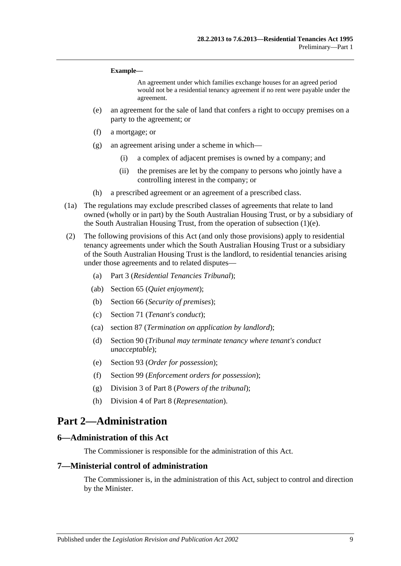#### **Example—**

An agreement under which families exchange houses for an agreed period would not be a residential tenancy agreement if no rent were payable under the agreement.

- <span id="page-8-3"></span>(e) an agreement for the sale of land that confers a right to occupy premises on a party to the agreement; or
- (f) a mortgage; or
- (g) an agreement arising under a scheme in which—
	- (i) a complex of adjacent premises is owned by a company; and
	- (ii) the premises are let by the company to persons who jointly have a controlling interest in the company; or
- (h) a prescribed agreement or an agreement of a prescribed class.
- (1a) The regulations may exclude prescribed classes of agreements that relate to land owned (wholly or in part) by the South Australian Housing Trust, or by a subsidiary of the South Australian Housing Trust, from the operation of [subsection](#page-8-3) (1)(e).
- (2) The following provisions of this Act (and only those provisions) apply to residential tenancy agreements under which the South Australian Housing Trust or a subsidiary of the South Australian Housing Trust is the landlord, to residential tenancies arising under those agreements and to related disputes—
	- (a) [Part 3](#page-9-2) (*Residential Tenancies Tribunal*);
	- (ab) [Section](#page-27-2) 65 (*Quiet enjoyment*);
	- (b) [Section](#page-28-1) 66 (*Security of premises*);
	- (c) [Section](#page-30-2) 71 (*Tenant's conduct*);
	- (ca) [section](#page-38-1) 87 (*Termination on application by landlord*);
	- (d) [Section](#page-39-0) 90 (*Tribunal may terminate tenancy where tenant's conduct unacceptable*);
	- (e) [Section](#page-40-2) 93 (*Order for possession*);
	- (f) [Section](#page-43-2) 99 (*Enforcement orders for possession*);
	- (g) [Division 3](#page-46-3) of [Part 8](#page-45-6) (*Powers of the tribunal*);
	- (h) [Division 4](#page-47-2) of [Part 8](#page-45-6) (*Representation*).

## <span id="page-8-0"></span>**Part 2—Administration**

#### <span id="page-8-1"></span>**6—Administration of this Act**

The Commissioner is responsible for the administration of this Act.

#### <span id="page-8-2"></span>**7—Ministerial control of administration**

The Commissioner is, in the administration of this Act, subject to control and direction by the Minister.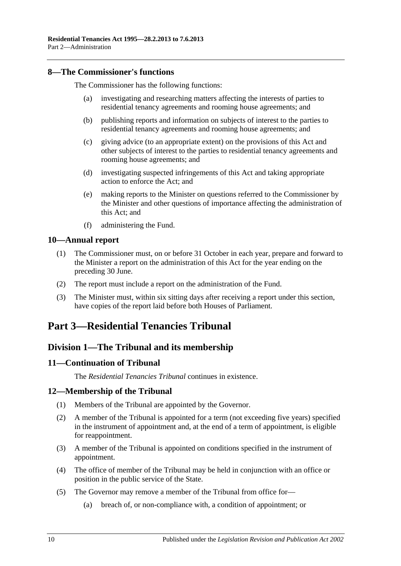### <span id="page-9-0"></span>**8—The Commissioner's functions**

The Commissioner has the following functions:

- (a) investigating and researching matters affecting the interests of parties to residential tenancy agreements and rooming house agreements; and
- (b) publishing reports and information on subjects of interest to the parties to residential tenancy agreements and rooming house agreements; and
- (c) giving advice (to an appropriate extent) on the provisions of this Act and other subjects of interest to the parties to residential tenancy agreements and rooming house agreements; and
- (d) investigating suspected infringements of this Act and taking appropriate action to enforce the Act; and
- (e) making reports to the Minister on questions referred to the Commissioner by the Minister and other questions of importance affecting the administration of this Act; and
- (f) administering the Fund.

#### <span id="page-9-1"></span>**10—Annual report**

- (1) The Commissioner must, on or before 31 October in each year, prepare and forward to the Minister a report on the administration of this Act for the year ending on the preceding 30 June.
- (2) The report must include a report on the administration of the Fund.
- (3) The Minister must, within six sitting days after receiving a report under this section, have copies of the report laid before both Houses of Parliament.

## <span id="page-9-2"></span>**Part 3—Residential Tenancies Tribunal**

## <span id="page-9-3"></span>**Division 1—The Tribunal and its membership**

#### <span id="page-9-4"></span>**11—Continuation of Tribunal**

The *Residential Tenancies Tribunal* continues in existence.

### <span id="page-9-5"></span>**12—Membership of the Tribunal**

- (1) Members of the Tribunal are appointed by the Governor.
- (2) A member of the Tribunal is appointed for a term (not exceeding five years) specified in the instrument of appointment and, at the end of a term of appointment, is eligible for reappointment.
- (3) A member of the Tribunal is appointed on conditions specified in the instrument of appointment.
- (4) The office of member of the Tribunal may be held in conjunction with an office or position in the public service of the State.
- <span id="page-9-6"></span>(5) The Governor may remove a member of the Tribunal from office for—
	- (a) breach of, or non-compliance with, a condition of appointment; or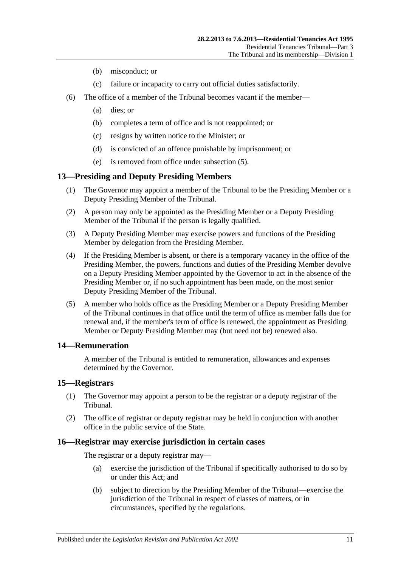- (b) misconduct; or
- (c) failure or incapacity to carry out official duties satisfactorily.
- (6) The office of a member of the Tribunal becomes vacant if the member—
	- (a) dies; or
	- (b) completes a term of office and is not reappointed; or
	- (c) resigns by written notice to the Minister; or
	- (d) is convicted of an offence punishable by imprisonment; or
	- (e) is removed from office under [subsection](#page-9-6) (5).

## <span id="page-10-0"></span>**13—Presiding and Deputy Presiding Members**

- (1) The Governor may appoint a member of the Tribunal to be the Presiding Member or a Deputy Presiding Member of the Tribunal.
- (2) A person may only be appointed as the Presiding Member or a Deputy Presiding Member of the Tribunal if the person is legally qualified.
- (3) A Deputy Presiding Member may exercise powers and functions of the Presiding Member by delegation from the Presiding Member.
- (4) If the Presiding Member is absent, or there is a temporary vacancy in the office of the Presiding Member, the powers, functions and duties of the Presiding Member devolve on a Deputy Presiding Member appointed by the Governor to act in the absence of the Presiding Member or, if no such appointment has been made, on the most senior Deputy Presiding Member of the Tribunal.
- (5) A member who holds office as the Presiding Member or a Deputy Presiding Member of the Tribunal continues in that office until the term of office as member falls due for renewal and, if the member's term of office is renewed, the appointment as Presiding Member or Deputy Presiding Member may (but need not be) renewed also.

### <span id="page-10-1"></span>**14—Remuneration**

A member of the Tribunal is entitled to remuneration, allowances and expenses determined by the Governor.

#### <span id="page-10-2"></span>**15—Registrars**

- (1) The Governor may appoint a person to be the registrar or a deputy registrar of the Tribunal.
- (2) The office of registrar or deputy registrar may be held in conjunction with another office in the public service of the State.

### <span id="page-10-3"></span>**16—Registrar may exercise jurisdiction in certain cases**

The registrar or a deputy registrar may—

- (a) exercise the jurisdiction of the Tribunal if specifically authorised to do so by or under this Act; and
- (b) subject to direction by the Presiding Member of the Tribunal—exercise the jurisdiction of the Tribunal in respect of classes of matters, or in circumstances, specified by the regulations.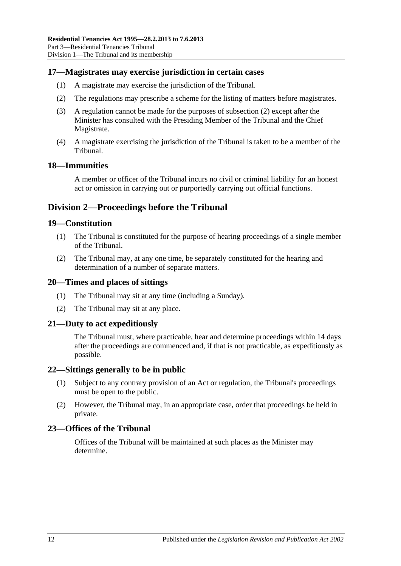#### <span id="page-11-0"></span>**17—Magistrates may exercise jurisdiction in certain cases**

- (1) A magistrate may exercise the jurisdiction of the Tribunal.
- <span id="page-11-8"></span>(2) The regulations may prescribe a scheme for the listing of matters before magistrates.
- (3) A regulation cannot be made for the purposes of [subsection](#page-11-8) (2) except after the Minister has consulted with the Presiding Member of the Tribunal and the Chief Magistrate.
- (4) A magistrate exercising the jurisdiction of the Tribunal is taken to be a member of the Tribunal.

#### <span id="page-11-1"></span>**18—Immunities**

A member or officer of the Tribunal incurs no civil or criminal liability for an honest act or omission in carrying out or purportedly carrying out official functions.

## <span id="page-11-2"></span>**Division 2—Proceedings before the Tribunal**

#### <span id="page-11-3"></span>**19—Constitution**

- (1) The Tribunal is constituted for the purpose of hearing proceedings of a single member of the Tribunal.
- (2) The Tribunal may, at any one time, be separately constituted for the hearing and determination of a number of separate matters.

#### <span id="page-11-4"></span>**20—Times and places of sittings**

- (1) The Tribunal may sit at any time (including a Sunday).
- (2) The Tribunal may sit at any place.

#### <span id="page-11-5"></span>**21—Duty to act expeditiously**

The Tribunal must, where practicable, hear and determine proceedings within 14 days after the proceedings are commenced and, if that is not practicable, as expeditiously as possible.

#### <span id="page-11-6"></span>**22—Sittings generally to be in public**

- (1) Subject to any contrary provision of an Act or regulation, the Tribunal's proceedings must be open to the public.
- (2) However, the Tribunal may, in an appropriate case, order that proceedings be held in private.

#### <span id="page-11-7"></span>**23—Offices of the Tribunal**

Offices of the Tribunal will be maintained at such places as the Minister may determine.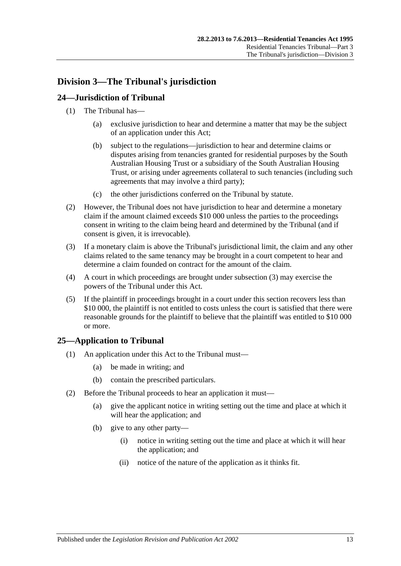## <span id="page-12-0"></span>**Division 3—The Tribunal's jurisdiction**

## <span id="page-12-1"></span>**24—Jurisdiction of Tribunal**

- (1) The Tribunal has—
	- (a) exclusive jurisdiction to hear and determine a matter that may be the subject of an application under this Act;
	- (b) subject to the regulations—jurisdiction to hear and determine claims or disputes arising from tenancies granted for residential purposes by the South Australian Housing Trust or a subsidiary of the South Australian Housing Trust, or arising under agreements collateral to such tenancies (including such agreements that may involve a third party);
	- (c) the other jurisdictions conferred on the Tribunal by statute.
- (2) However, the Tribunal does not have jurisdiction to hear and determine a monetary claim if the amount claimed exceeds \$10 000 unless the parties to the proceedings consent in writing to the claim being heard and determined by the Tribunal (and if consent is given, it is irrevocable).
- <span id="page-12-3"></span>(3) If a monetary claim is above the Tribunal's jurisdictional limit, the claim and any other claims related to the same tenancy may be brought in a court competent to hear and determine a claim founded on contract for the amount of the claim.
- (4) A court in which proceedings are brought under [subsection](#page-12-3) (3) may exercise the powers of the Tribunal under this Act.
- (5) If the plaintiff in proceedings brought in a court under this section recovers less than \$10 000, the plaintiff is not entitled to costs unless the court is satisfied that there were reasonable grounds for the plaintiff to believe that the plaintiff was entitled to \$10 000 or more.

### <span id="page-12-2"></span>**25—Application to Tribunal**

- (1) An application under this Act to the Tribunal must—
	- (a) be made in writing; and
	- (b) contain the prescribed particulars.
- (2) Before the Tribunal proceeds to hear an application it must—
	- (a) give the applicant notice in writing setting out the time and place at which it will hear the application; and
	- (b) give to any other party—
		- (i) notice in writing setting out the time and place at which it will hear the application; and
		- (ii) notice of the nature of the application as it thinks fit.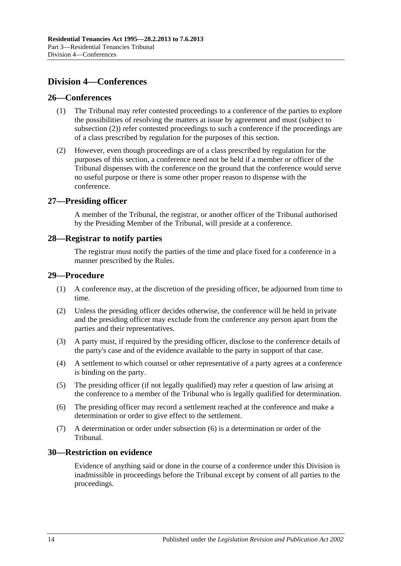## <span id="page-13-0"></span>**Division 4—Conferences**

#### <span id="page-13-1"></span>**26—Conferences**

- (1) The Tribunal may refer contested proceedings to a conference of the parties to explore the possibilities of resolving the matters at issue by agreement and must (subject to [subsection](#page-13-6) (2)) refer contested proceedings to such a conference if the proceedings are of a class prescribed by regulation for the purposes of this section.
- <span id="page-13-6"></span>(2) However, even though proceedings are of a class prescribed by regulation for the purposes of this section, a conference need not be held if a member or officer of the Tribunal dispenses with the conference on the ground that the conference would serve no useful purpose or there is some other proper reason to dispense with the conference.

#### <span id="page-13-2"></span>**27—Presiding officer**

A member of the Tribunal, the registrar, or another officer of the Tribunal authorised by the Presiding Member of the Tribunal, will preside at a conference.

#### <span id="page-13-3"></span>**28—Registrar to notify parties**

The registrar must notify the parties of the time and place fixed for a conference in a manner prescribed by the Rules.

#### <span id="page-13-4"></span>**29—Procedure**

- (1) A conference may, at the discretion of the presiding officer, be adjourned from time to time.
- (2) Unless the presiding officer decides otherwise, the conference will be held in private and the presiding officer may exclude from the conference any person apart from the parties and their representatives.
- (3) A party must, if required by the presiding officer, disclose to the conference details of the party's case and of the evidence available to the party in support of that case.
- (4) A settlement to which counsel or other representative of a party agrees at a conference is binding on the party.
- (5) The presiding officer (if not legally qualified) may refer a question of law arising at the conference to a member of the Tribunal who is legally qualified for determination.
- <span id="page-13-7"></span>(6) The presiding officer may record a settlement reached at the conference and make a determination or order to give effect to the settlement.
- (7) A determination or order under [subsection](#page-13-7) (6) is a determination or order of the Tribunal.

#### <span id="page-13-5"></span>**30—Restriction on evidence**

Evidence of anything said or done in the course of a conference under this Division is inadmissible in proceedings before the Tribunal except by consent of all parties to the proceedings.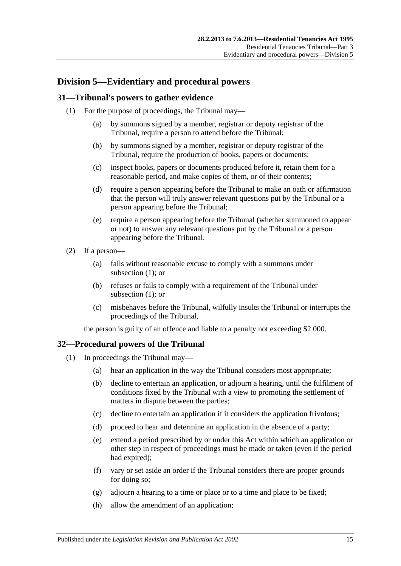## <span id="page-14-0"></span>**Division 5—Evidentiary and procedural powers**

### <span id="page-14-3"></span><span id="page-14-1"></span>**31—Tribunal's powers to gather evidence**

- (1) For the purpose of proceedings, the Tribunal may—
	- (a) by summons signed by a member, registrar or deputy registrar of the Tribunal, require a person to attend before the Tribunal;
	- (b) by summons signed by a member, registrar or deputy registrar of the Tribunal, require the production of books, papers or documents;
	- (c) inspect books, papers or documents produced before it, retain them for a reasonable period, and make copies of them, or of their contents;
	- (d) require a person appearing before the Tribunal to make an oath or affirmation that the person will truly answer relevant questions put by the Tribunal or a person appearing before the Tribunal;
	- (e) require a person appearing before the Tribunal (whether summoned to appear or not) to answer any relevant questions put by the Tribunal or a person appearing before the Tribunal.
- (2) If a person—
	- (a) fails without reasonable excuse to comply with a summons under [subsection](#page-14-3) (1); or
	- (b) refuses or fails to comply with a requirement of the Tribunal under [subsection](#page-14-3) (1); or
	- (c) misbehaves before the Tribunal, wilfully insults the Tribunal or interrupts the proceedings of the Tribunal,

the person is guilty of an offence and liable to a penalty not exceeding \$2 000.

### <span id="page-14-2"></span>**32—Procedural powers of the Tribunal**

- (1) In proceedings the Tribunal may—
	- (a) hear an application in the way the Tribunal considers most appropriate;
	- (b) decline to entertain an application, or adjourn a hearing, until the fulfilment of conditions fixed by the Tribunal with a view to promoting the settlement of matters in dispute between the parties;
	- (c) decline to entertain an application if it considers the application frivolous;
	- (d) proceed to hear and determine an application in the absence of a party;
	- (e) extend a period prescribed by or under this Act within which an application or other step in respect of proceedings must be made or taken (even if the period had expired);
	- (f) vary or set aside an order if the Tribunal considers there are proper grounds for doing so;
	- (g) adjourn a hearing to a time or place or to a time and place to be fixed;
	- (h) allow the amendment of an application;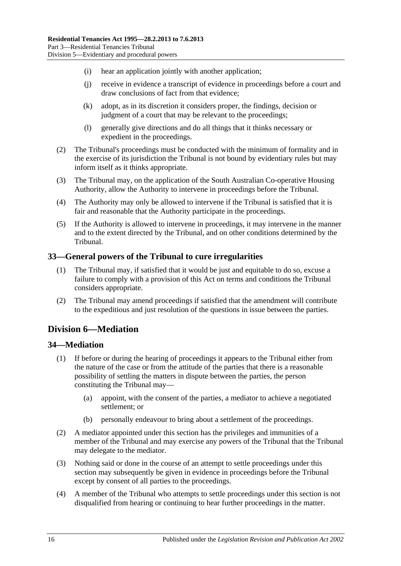- (i) hear an application jointly with another application;
- (j) receive in evidence a transcript of evidence in proceedings before a court and draw conclusions of fact from that evidence;
- (k) adopt, as in its discretion it considers proper, the findings, decision or judgment of a court that may be relevant to the proceedings;
- (l) generally give directions and do all things that it thinks necessary or expedient in the proceedings.
- (2) The Tribunal's proceedings must be conducted with the minimum of formality and in the exercise of its jurisdiction the Tribunal is not bound by evidentiary rules but may inform itself as it thinks appropriate.
- (3) The Tribunal may, on the application of the South Australian Co-operative Housing Authority, allow the Authority to intervene in proceedings before the Tribunal.
- (4) The Authority may only be allowed to intervene if the Tribunal is satisfied that it is fair and reasonable that the Authority participate in the proceedings.
- (5) If the Authority is allowed to intervene in proceedings, it may intervene in the manner and to the extent directed by the Tribunal, and on other conditions determined by the Tribunal.

#### <span id="page-15-0"></span>**33—General powers of the Tribunal to cure irregularities**

- (1) The Tribunal may, if satisfied that it would be just and equitable to do so, excuse a failure to comply with a provision of this Act on terms and conditions the Tribunal considers appropriate.
- (2) The Tribunal may amend proceedings if satisfied that the amendment will contribute to the expeditious and just resolution of the questions in issue between the parties.

## <span id="page-15-1"></span>**Division 6—Mediation**

### <span id="page-15-2"></span>**34—Mediation**

- (1) If before or during the hearing of proceedings it appears to the Tribunal either from the nature of the case or from the attitude of the parties that there is a reasonable possibility of settling the matters in dispute between the parties, the person constituting the Tribunal may—
	- (a) appoint, with the consent of the parties, a mediator to achieve a negotiated settlement; or
	- (b) personally endeavour to bring about a settlement of the proceedings.
- (2) A mediator appointed under this section has the privileges and immunities of a member of the Tribunal and may exercise any powers of the Tribunal that the Tribunal may delegate to the mediator.
- (3) Nothing said or done in the course of an attempt to settle proceedings under this section may subsequently be given in evidence in proceedings before the Tribunal except by consent of all parties to the proceedings.
- (4) A member of the Tribunal who attempts to settle proceedings under this section is not disqualified from hearing or continuing to hear further proceedings in the matter.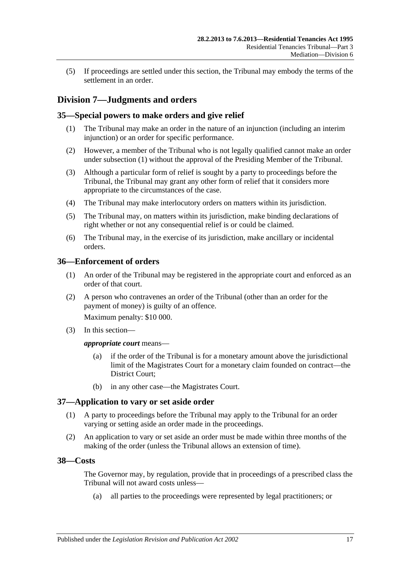(5) If proceedings are settled under this section, the Tribunal may embody the terms of the settlement in an order.

## <span id="page-16-0"></span>**Division 7—Judgments and orders**

### <span id="page-16-5"></span><span id="page-16-1"></span>**35—Special powers to make orders and give relief**

- (1) The Tribunal may make an order in the nature of an injunction (including an interim injunction) or an order for specific performance.
- (2) However, a member of the Tribunal who is not legally qualified cannot make an order under [subsection](#page-16-5) (1) without the approval of the Presiding Member of the Tribunal.
- (3) Although a particular form of relief is sought by a party to proceedings before the Tribunal, the Tribunal may grant any other form of relief that it considers more appropriate to the circumstances of the case.
- (4) The Tribunal may make interlocutory orders on matters within its jurisdiction.
- (5) The Tribunal may, on matters within its jurisdiction, make binding declarations of right whether or not any consequential relief is or could be claimed.
- (6) The Tribunal may, in the exercise of its jurisdiction, make ancillary or incidental orders.

#### <span id="page-16-2"></span>**36—Enforcement of orders**

- (1) An order of the Tribunal may be registered in the appropriate court and enforced as an order of that court.
- (2) A person who contravenes an order of the Tribunal (other than an order for the payment of money) is guilty of an offence.

Maximum penalty: \$10 000.

(3) In this section—

#### *appropriate court* means—

- (a) if the order of the Tribunal is for a monetary amount above the jurisdictional limit of the Magistrates Court for a monetary claim founded on contract—the District Court;
- (b) in any other case—the Magistrates Court.

### <span id="page-16-3"></span>**37—Application to vary or set aside order**

- (1) A party to proceedings before the Tribunal may apply to the Tribunal for an order varying or setting aside an order made in the proceedings.
- (2) An application to vary or set aside an order must be made within three months of the making of the order (unless the Tribunal allows an extension of time).

### <span id="page-16-4"></span>**38—Costs**

The Governor may, by regulation, provide that in proceedings of a prescribed class the Tribunal will not award costs unless—

(a) all parties to the proceedings were represented by legal practitioners; or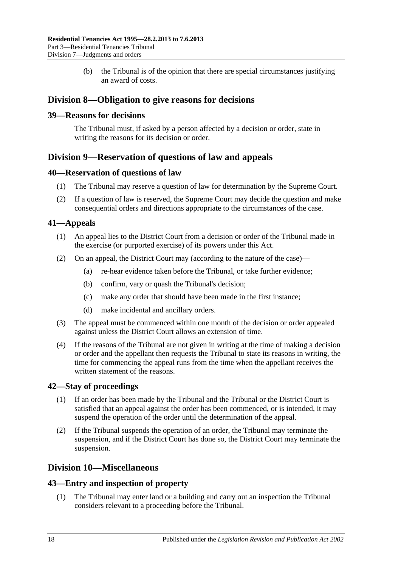(b) the Tribunal is of the opinion that there are special circumstances justifying an award of costs.

## <span id="page-17-0"></span>**Division 8—Obligation to give reasons for decisions**

#### <span id="page-17-1"></span>**39—Reasons for decisions**

The Tribunal must, if asked by a person affected by a decision or order, state in writing the reasons for its decision or order.

## <span id="page-17-2"></span>**Division 9—Reservation of questions of law and appeals**

#### <span id="page-17-3"></span>**40—Reservation of questions of law**

- (1) The Tribunal may reserve a question of law for determination by the Supreme Court.
- (2) If a question of law is reserved, the Supreme Court may decide the question and make consequential orders and directions appropriate to the circumstances of the case.

## <span id="page-17-4"></span>**41—Appeals**

- (1) An appeal lies to the District Court from a decision or order of the Tribunal made in the exercise (or purported exercise) of its powers under this Act.
- (2) On an appeal, the District Court may (according to the nature of the case)—
	- (a) re-hear evidence taken before the Tribunal, or take further evidence;
	- (b) confirm, vary or quash the Tribunal's decision;
	- (c) make any order that should have been made in the first instance;
	- (d) make incidental and ancillary orders.
- (3) The appeal must be commenced within one month of the decision or order appealed against unless the District Court allows an extension of time.
- (4) If the reasons of the Tribunal are not given in writing at the time of making a decision or order and the appellant then requests the Tribunal to state its reasons in writing, the time for commencing the appeal runs from the time when the appellant receives the written statement of the reasons.

### <span id="page-17-5"></span>**42—Stay of proceedings**

- (1) If an order has been made by the Tribunal and the Tribunal or the District Court is satisfied that an appeal against the order has been commenced, or is intended, it may suspend the operation of the order until the determination of the appeal.
- (2) If the Tribunal suspends the operation of an order, the Tribunal may terminate the suspension, and if the District Court has done so, the District Court may terminate the suspension.

## <span id="page-17-6"></span>**Division 10—Miscellaneous**

#### <span id="page-17-7"></span>**43—Entry and inspection of property**

(1) The Tribunal may enter land or a building and carry out an inspection the Tribunal considers relevant to a proceeding before the Tribunal.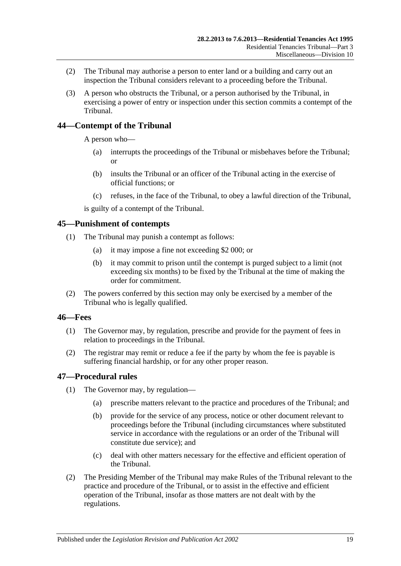- (2) The Tribunal may authorise a person to enter land or a building and carry out an inspection the Tribunal considers relevant to a proceeding before the Tribunal.
- (3) A person who obstructs the Tribunal, or a person authorised by the Tribunal, in exercising a power of entry or inspection under this section commits a contempt of the Tribunal.

## <span id="page-18-0"></span>**44—Contempt of the Tribunal**

A person who—

- (a) interrupts the proceedings of the Tribunal or misbehaves before the Tribunal; or
- (b) insults the Tribunal or an officer of the Tribunal acting in the exercise of official functions; or
- (c) refuses, in the face of the Tribunal, to obey a lawful direction of the Tribunal,

is guilty of a contempt of the Tribunal.

#### <span id="page-18-1"></span>**45—Punishment of contempts**

- (1) The Tribunal may punish a contempt as follows:
	- (a) it may impose a fine not exceeding \$2 000; or
	- (b) it may commit to prison until the contempt is purged subject to a limit (not exceeding six months) to be fixed by the Tribunal at the time of making the order for commitment.
- (2) The powers conferred by this section may only be exercised by a member of the Tribunal who is legally qualified.

#### <span id="page-18-2"></span>**46—Fees**

- (1) The Governor may, by regulation, prescribe and provide for the payment of fees in relation to proceedings in the Tribunal.
- (2) The registrar may remit or reduce a fee if the party by whom the fee is payable is suffering financial hardship, or for any other proper reason.

#### <span id="page-18-3"></span>**47—Procedural rules**

- (1) The Governor may, by regulation—
	- (a) prescribe matters relevant to the practice and procedures of the Tribunal; and
	- (b) provide for the service of any process, notice or other document relevant to proceedings before the Tribunal (including circumstances where substituted service in accordance with the regulations or an order of the Tribunal will constitute due service); and
	- (c) deal with other matters necessary for the effective and efficient operation of the Tribunal.
- (2) The Presiding Member of the Tribunal may make Rules of the Tribunal relevant to the practice and procedure of the Tribunal, or to assist in the effective and efficient operation of the Tribunal, insofar as those matters are not dealt with by the regulations.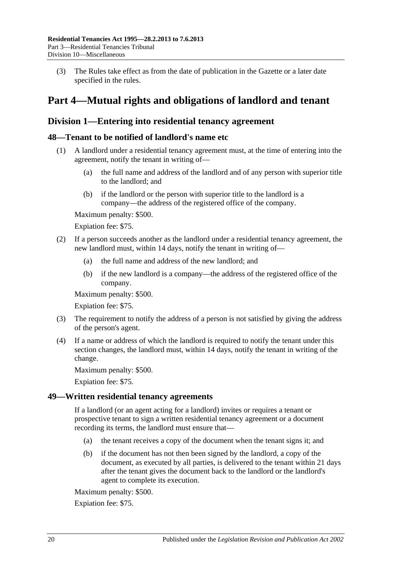(3) The Rules take effect as from the date of publication in the Gazette or a later date specified in the rules.

## <span id="page-19-0"></span>**Part 4—Mutual rights and obligations of landlord and tenant**

## <span id="page-19-1"></span>**Division 1—Entering into residential tenancy agreement**

### <span id="page-19-2"></span>**48—Tenant to be notified of landlord's name etc**

- (1) A landlord under a residential tenancy agreement must, at the time of entering into the agreement, notify the tenant in writing of—
	- (a) the full name and address of the landlord and of any person with superior title to the landlord; and
	- (b) if the landlord or the person with superior title to the landlord is a company—the address of the registered office of the company.

Maximum penalty: \$500.

Expiation fee: \$75.

- (2) If a person succeeds another as the landlord under a residential tenancy agreement, the new landlord must, within 14 days, notify the tenant in writing of—
	- (a) the full name and address of the new landlord; and
	- (b) if the new landlord is a company—the address of the registered office of the company.

Maximum penalty: \$500.

Expiation fee: \$75.

- (3) The requirement to notify the address of a person is not satisfied by giving the address of the person's agent.
- (4) If a name or address of which the landlord is required to notify the tenant under this section changes, the landlord must, within 14 days, notify the tenant in writing of the change.

Maximum penalty: \$500.

Expiation fee: \$75.

#### <span id="page-19-3"></span>**49—Written residential tenancy agreements**

If a landlord (or an agent acting for a landlord) invites or requires a tenant or prospective tenant to sign a written residential tenancy agreement or a document recording its terms, the landlord must ensure that—

- (a) the tenant receives a copy of the document when the tenant signs it; and
- (b) if the document has not then been signed by the landlord, a copy of the document, as executed by all parties, is delivered to the tenant within 21 days after the tenant gives the document back to the landlord or the landlord's agent to complete its execution.

Maximum penalty: \$500.

Expiation fee: \$75.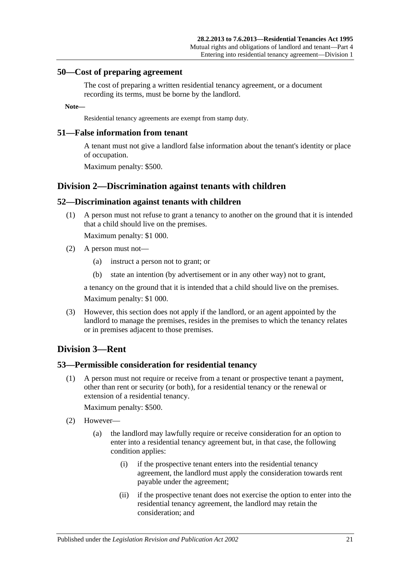#### <span id="page-20-0"></span>**50—Cost of preparing agreement**

The cost of preparing a written residential tenancy agreement, or a document recording its terms, must be borne by the landlord.

#### **Note—**

Residential tenancy agreements are exempt from stamp duty.

#### <span id="page-20-1"></span>**51—False information from tenant**

A tenant must not give a landlord false information about the tenant's identity or place of occupation.

Maximum penalty: \$500.

### <span id="page-20-2"></span>**Division 2—Discrimination against tenants with children**

#### <span id="page-20-3"></span>**52—Discrimination against tenants with children**

(1) A person must not refuse to grant a tenancy to another on the ground that it is intended that a child should live on the premises.

Maximum penalty: \$1 000.

- (2) A person must not—
	- (a) instruct a person not to grant; or
	- (b) state an intention (by advertisement or in any other way) not to grant,

a tenancy on the ground that it is intended that a child should live on the premises.

Maximum penalty: \$1 000.

(3) However, this section does not apply if the landlord, or an agent appointed by the landlord to manage the premises, resides in the premises to which the tenancy relates or in premises adjacent to those premises.

### <span id="page-20-4"></span>**Division 3—Rent**

#### <span id="page-20-5"></span>**53—Permissible consideration for residential tenancy**

(1) A person must not require or receive from a tenant or prospective tenant a payment, other than rent or security (or both), for a residential tenancy or the renewal or extension of a residential tenancy.

Maximum penalty: \$500.

- (2) However—
	- (a) the landlord may lawfully require or receive consideration for an option to enter into a residential tenancy agreement but, in that case, the following condition applies:
		- (i) if the prospective tenant enters into the residential tenancy agreement, the landlord must apply the consideration towards rent payable under the agreement;
		- (ii) if the prospective tenant does not exercise the option to enter into the residential tenancy agreement, the landlord may retain the consideration; and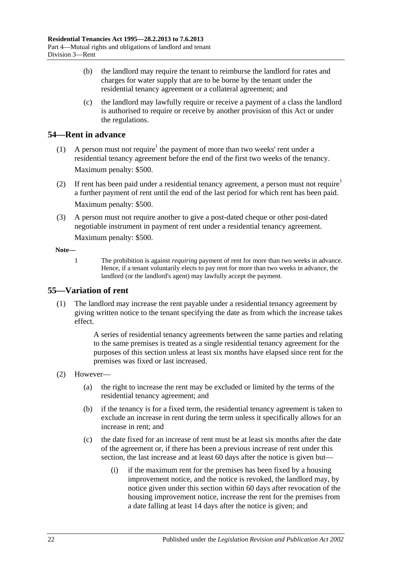- (b) the landlord may require the tenant to reimburse the landlord for rates and charges for water supply that are to be borne by the tenant under the residential tenancy agreement or a collateral agreement; and
- (c) the landlord may lawfully require or receive a payment of a class the landlord is authorised to require or receive by another provision of this Act or under the regulations.

## <span id="page-21-0"></span>**54—Rent in advance**

- (1) A person must not require<sup>1</sup> the payment of more than two weeks' rent under a residential tenancy agreement before the end of the first two weeks of the tenancy. Maximum penalty: \$500.
- (2) If rent has been paid under a residential tenancy agreement, a person must not require<sup>1</sup> a further payment of rent until the end of the last period for which rent has been paid. Maximum penalty: \$500.
- (3) A person must not require another to give a post-dated cheque or other post-dated negotiable instrument in payment of rent under a residential tenancy agreement. Maximum penalty: \$500.

#### **Note—**

1 The prohibition is against *requiring* payment of rent for more than two weeks in advance. Hence, if a tenant voluntarily elects to pay rent for more than two weeks in advance, the landlord (or the landlord's agent) may lawfully accept the payment.

## <span id="page-21-1"></span>**55—Variation of rent**

(1) The landlord may increase the rent payable under a residential tenancy agreement by giving written notice to the tenant specifying the date as from which the increase takes effect.

> A series of residential tenancy agreements between the same parties and relating to the same premises is treated as a single residential tenancy agreement for the purposes of this section unless at least six months have elapsed since rent for the premises was fixed or last increased.

- (2) However—
	- (a) the right to increase the rent may be excluded or limited by the terms of the residential tenancy agreement; and
	- (b) if the tenancy is for a fixed term, the residential tenancy agreement is taken to exclude an increase in rent during the term unless it specifically allows for an increase in rent; and
	- (c) the date fixed for an increase of rent must be at least six months after the date of the agreement or, if there has been a previous increase of rent under this section, the last increase and at least 60 days after the notice is given but—
		- (i) if the maximum rent for the premises has been fixed by a housing improvement notice, and the notice is revoked, the landlord may, by notice given under this section within 60 days after revocation of the housing improvement notice, increase the rent for the premises from a date falling at least 14 days after the notice is given; and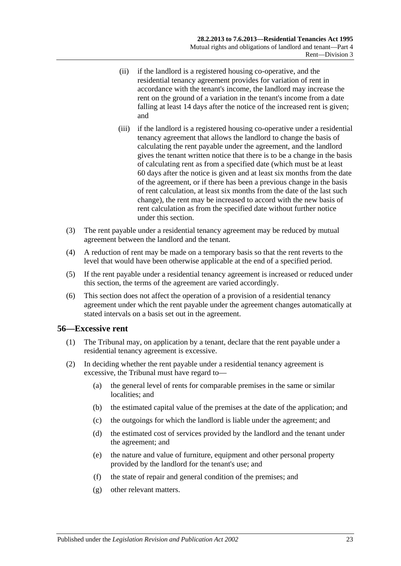- (ii) if the landlord is a registered housing co-operative, and the residential tenancy agreement provides for variation of rent in accordance with the tenant's income, the landlord may increase the rent on the ground of a variation in the tenant's income from a date falling at least 14 days after the notice of the increased rent is given; and
- (iii) if the landlord is a registered housing co-operative under a residential tenancy agreement that allows the landlord to change the basis of calculating the rent payable under the agreement, and the landlord gives the tenant written notice that there is to be a change in the basis of calculating rent as from a specified date (which must be at least 60 days after the notice is given and at least six months from the date of the agreement, or if there has been a previous change in the basis of rent calculation, at least six months from the date of the last such change), the rent may be increased to accord with the new basis of rent calculation as from the specified date without further notice under this section.
- (3) The rent payable under a residential tenancy agreement may be reduced by mutual agreement between the landlord and the tenant.
- (4) A reduction of rent may be made on a temporary basis so that the rent reverts to the level that would have been otherwise applicable at the end of a specified period.
- (5) If the rent payable under a residential tenancy agreement is increased or reduced under this section, the terms of the agreement are varied accordingly.
- (6) This section does not affect the operation of a provision of a residential tenancy agreement under which the rent payable under the agreement changes automatically at stated intervals on a basis set out in the agreement.

### <span id="page-22-0"></span>**56—Excessive rent**

- (1) The Tribunal may, on application by a tenant, declare that the rent payable under a residential tenancy agreement is excessive.
- (2) In deciding whether the rent payable under a residential tenancy agreement is excessive, the Tribunal must have regard to—
	- (a) the general level of rents for comparable premises in the same or similar localities; and
	- (b) the estimated capital value of the premises at the date of the application; and
	- (c) the outgoings for which the landlord is liable under the agreement; and
	- (d) the estimated cost of services provided by the landlord and the tenant under the agreement; and
	- (e) the nature and value of furniture, equipment and other personal property provided by the landlord for the tenant's use; and
	- (f) the state of repair and general condition of the premises; and
	- (g) other relevant matters.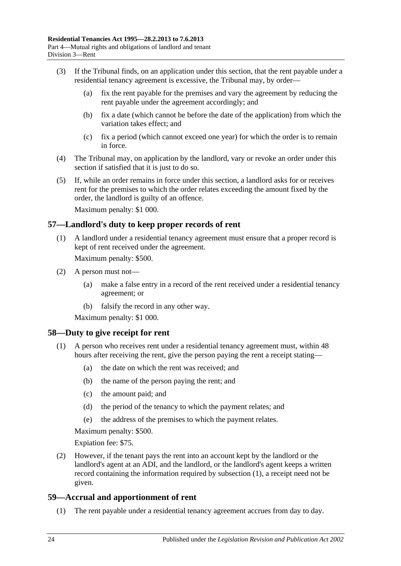- (3) If the Tribunal finds, on an application under this section, that the rent payable under a residential tenancy agreement is excessive, the Tribunal may, by order—
	- (a) fix the rent payable for the premises and vary the agreement by reducing the rent payable under the agreement accordingly; and
	- (b) fix a date (which cannot be before the date of the application) from which the variation takes effect; and
	- (c) fix a period (which cannot exceed one year) for which the order is to remain in force.
- (4) The Tribunal may, on application by the landlord, vary or revoke an order under this section if satisfied that it is just to do so.
- (5) If, while an order remains in force under this section, a landlord asks for or receives rent for the premises to which the order relates exceeding the amount fixed by the order, the landlord is guilty of an offence.

Maximum penalty: \$1 000.

#### <span id="page-23-0"></span>**57—Landlord's duty to keep proper records of rent**

(1) A landlord under a residential tenancy agreement must ensure that a proper record is kept of rent received under the agreement.

Maximum penalty: \$500.

- (2) A person must not—
	- (a) make a false entry in a record of the rent received under a residential tenancy agreement; or
	- (b) falsify the record in any other way.

Maximum penalty: \$1 000.

#### <span id="page-23-3"></span><span id="page-23-1"></span>**58—Duty to give receipt for rent**

- (1) A person who receives rent under a residential tenancy agreement must, within 48 hours after receiving the rent, give the person paying the rent a receipt stating—
	- (a) the date on which the rent was received; and
	- (b) the name of the person paying the rent; and
	- (c) the amount paid; and
	- (d) the period of the tenancy to which the payment relates; and
	- (e) the address of the premises to which the payment relates.

Maximum penalty: \$500.

Expiation fee: \$75.

(2) However, if the tenant pays the rent into an account kept by the landlord or the landlord's agent at an ADI, and the landlord, or the landlord's agent keeps a written record containing the information required by [subsection](#page-23-3) (1), a receipt need not be given.

### <span id="page-23-2"></span>**59—Accrual and apportionment of rent**

(1) The rent payable under a residential tenancy agreement accrues from day to day.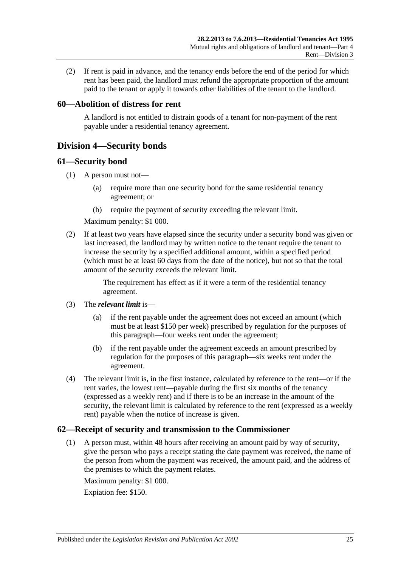(2) If rent is paid in advance, and the tenancy ends before the end of the period for which rent has been paid, the landlord must refund the appropriate proportion of the amount paid to the tenant or apply it towards other liabilities of the tenant to the landlord.

### <span id="page-24-0"></span>**60—Abolition of distress for rent**

A landlord is not entitled to distrain goods of a tenant for non-payment of the rent payable under a residential tenancy agreement.

## <span id="page-24-1"></span>**Division 4—Security bonds**

#### <span id="page-24-2"></span>**61—Security bond**

- (1) A person must not—
	- (a) require more than one security bond for the same residential tenancy agreement; or
	- (b) require the payment of security exceeding the relevant limit.

Maximum penalty: \$1 000.

(2) If at least two years have elapsed since the security under a security bond was given or last increased, the landlord may by written notice to the tenant require the tenant to increase the security by a specified additional amount, within a specified period (which must be at least 60 days from the date of the notice), but not so that the total amount of the security exceeds the relevant limit.

> The requirement has effect as if it were a term of the residential tenancy agreement.

- (3) The *relevant limit* is—
	- (a) if the rent payable under the agreement does not exceed an amount (which must be at least \$150 per week) prescribed by regulation for the purposes of this paragraph—four weeks rent under the agreement;
	- (b) if the rent payable under the agreement exceeds an amount prescribed by regulation for the purposes of this paragraph—six weeks rent under the agreement.
- (4) The relevant limit is, in the first instance, calculated by reference to the rent—or if the rent varies, the lowest rent—payable during the first six months of the tenancy (expressed as a weekly rent) and if there is to be an increase in the amount of the security, the relevant limit is calculated by reference to the rent (expressed as a weekly rent) payable when the notice of increase is given.

### <span id="page-24-3"></span>**62—Receipt of security and transmission to the Commissioner**

(1) A person must, within 48 hours after receiving an amount paid by way of security, give the person who pays a receipt stating the date payment was received, the name of the person from whom the payment was received, the amount paid, and the address of the premises to which the payment relates.

Maximum penalty: \$1 000.

Expiation fee: \$150.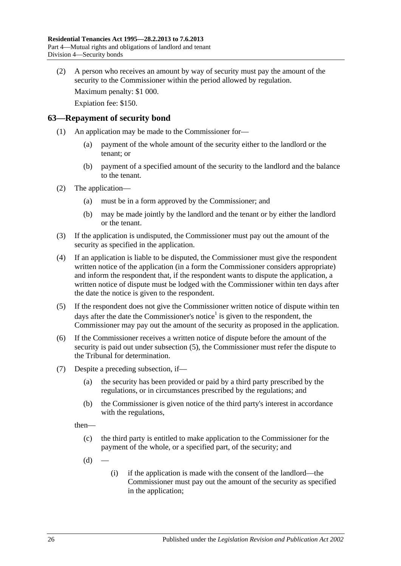(2) A person who receives an amount by way of security must pay the amount of the security to the Commissioner within the period allowed by regulation.

Maximum penalty: \$1 000.

Expiation fee: \$150.

#### <span id="page-25-0"></span>**63—Repayment of security bond**

- (1) An application may be made to the Commissioner for—
	- (a) payment of the whole amount of the security either to the landlord or the tenant; or
	- (b) payment of a specified amount of the security to the landlord and the balance to the tenant.
- (2) The application—
	- (a) must be in a form approved by the Commissioner; and
	- (b) may be made jointly by the landlord and the tenant or by either the landlord or the tenant.
- (3) If the application is undisputed, the Commissioner must pay out the amount of the security as specified in the application.
- <span id="page-25-3"></span>(4) If an application is liable to be disputed, the Commissioner must give the respondent written notice of the application (in a form the Commissioner considers appropriate) and inform the respondent that, if the respondent wants to dispute the application, a written notice of dispute must be lodged with the Commissioner within ten days after the date the notice is given to the respondent.
- <span id="page-25-1"></span>(5) If the respondent does not give the Commissioner written notice of dispute within ten days after the date the Commissioner's notice<sup>1</sup> is given to the respondent, the Commissioner may pay out the amount of the security as proposed in the application.
- (6) If the Commissioner receives a written notice of dispute before the amount of the security is paid out under [subsection](#page-25-1) (5), the Commissioner must refer the dispute to the Tribunal for determination.
- <span id="page-25-2"></span>(7) Despite a preceding subsection, if—
	- (a) the security has been provided or paid by a third party prescribed by the regulations, or in circumstances prescribed by the regulations; and
	- (b) the Commissioner is given notice of the third party's interest in accordance with the regulations,

then—

- (c) the third party is entitled to make application to the Commissioner for the payment of the whole, or a specified part, of the security; and
- $(d)$
- (i) if the application is made with the consent of the landlord—the Commissioner must pay out the amount of the security as specified in the application;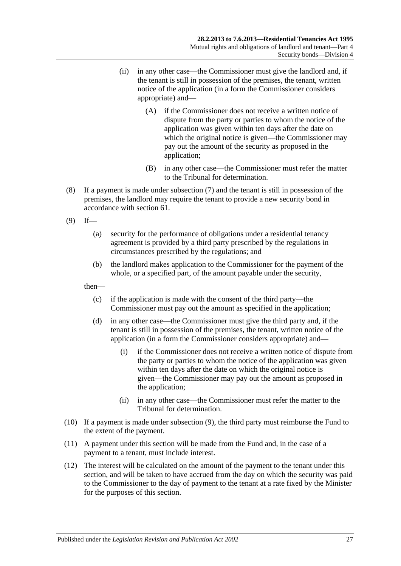- (ii) in any other case—the Commissioner must give the landlord and, if the tenant is still in possession of the premises, the tenant, written notice of the application (in a form the Commissioner considers appropriate) and—
	- (A) if the Commissioner does not receive a written notice of dispute from the party or parties to whom the notice of the application was given within ten days after the date on which the original notice is given—the Commissioner may pay out the amount of the security as proposed in the application;
	- (B) in any other case—the Commissioner must refer the matter to the Tribunal for determination.
- (8) If a payment is made under [subsection](#page-25-2) (7) and the tenant is still in possession of the premises, the landlord may require the tenant to provide a new security bond in accordance with [section](#page-24-2) 61.
- <span id="page-26-0"></span> $(9)$  If—
	- (a) security for the performance of obligations under a residential tenancy agreement is provided by a third party prescribed by the regulations in circumstances prescribed by the regulations; and
	- (b) the landlord makes application to the Commissioner for the payment of the whole, or a specified part, of the amount payable under the security,

then—

- (c) if the application is made with the consent of the third party—the Commissioner must pay out the amount as specified in the application;
- (d) in any other case—the Commissioner must give the third party and, if the tenant is still in possession of the premises, the tenant, written notice of the application (in a form the Commissioner considers appropriate) and—
	- (i) if the Commissioner does not receive a written notice of dispute from the party or parties to whom the notice of the application was given within ten days after the date on which the original notice is given—the Commissioner may pay out the amount as proposed in the application;
	- (ii) in any other case—the Commissioner must refer the matter to the Tribunal for determination.
- (10) If a payment is made under [subsection](#page-26-0) (9), the third party must reimburse the Fund to the extent of the payment.
- (11) A payment under this section will be made from the Fund and, in the case of a payment to a tenant, must include interest.
- (12) The interest will be calculated on the amount of the payment to the tenant under this section, and will be taken to have accrued from the day on which the security was paid to the Commissioner to the day of payment to the tenant at a rate fixed by the Minister for the purposes of this section.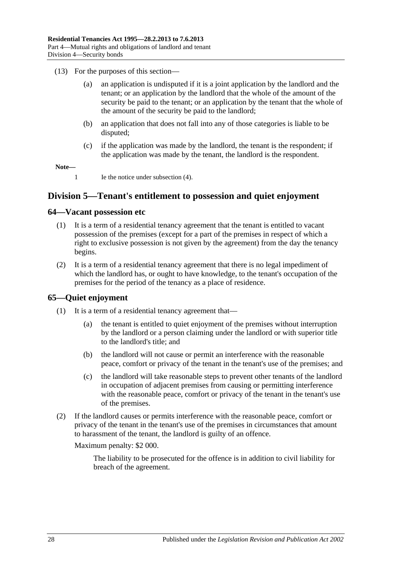- (13) For the purposes of this section—
	- (a) an application is undisputed if it is a joint application by the landlord and the tenant; or an application by the landlord that the whole of the amount of the security be paid to the tenant; or an application by the tenant that the whole of the amount of the security be paid to the landlord;
	- (b) an application that does not fall into any of those categories is liable to be disputed;
	- (c) if the application was made by the landlord, the tenant is the respondent; if the application was made by the tenant, the landlord is the respondent.

**Note—**

1 Ie the notice under [subsection](#page-25-3) (4).

## <span id="page-27-0"></span>**Division 5—Tenant's entitlement to possession and quiet enjoyment**

#### <span id="page-27-1"></span>**64—Vacant possession etc**

- (1) It is a term of a residential tenancy agreement that the tenant is entitled to vacant possession of the premises (except for a part of the premises in respect of which a right to exclusive possession is not given by the agreement) from the day the tenancy begins.
- (2) It is a term of a residential tenancy agreement that there is no legal impediment of which the landlord has, or ought to have knowledge, to the tenant's occupation of the premises for the period of the tenancy as a place of residence.

### <span id="page-27-2"></span>**65—Quiet enjoyment**

- (1) It is a term of a residential tenancy agreement that—
	- (a) the tenant is entitled to quiet enjoyment of the premises without interruption by the landlord or a person claiming under the landlord or with superior title to the landlord's title; and
	- (b) the landlord will not cause or permit an interference with the reasonable peace, comfort or privacy of the tenant in the tenant's use of the premises; and
	- (c) the landlord will take reasonable steps to prevent other tenants of the landlord in occupation of adjacent premises from causing or permitting interference with the reasonable peace, comfort or privacy of the tenant in the tenant's use of the premises.
- (2) If the landlord causes or permits interference with the reasonable peace, comfort or privacy of the tenant in the tenant's use of the premises in circumstances that amount to harassment of the tenant, the landlord is guilty of an offence.

Maximum penalty: \$2 000.

The liability to be prosecuted for the offence is in addition to civil liability for breach of the agreement.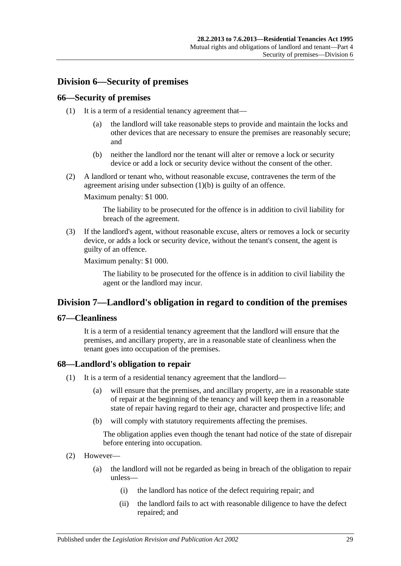## <span id="page-28-0"></span>**Division 6—Security of premises**

#### <span id="page-28-1"></span>**66—Security of premises**

- (1) It is a term of a residential tenancy agreement that—
	- (a) the landlord will take reasonable steps to provide and maintain the locks and other devices that are necessary to ensure the premises are reasonably secure; and
	- (b) neither the landlord nor the tenant will alter or remove a lock or security device or add a lock or security device without the consent of the other.
- <span id="page-28-5"></span>(2) A landlord or tenant who, without reasonable excuse, contravenes the term of the agreement arising under [subsection](#page-28-5) (1)(b) is guilty of an offence.

Maximum penalty: \$1 000.

The liability to be prosecuted for the offence is in addition to civil liability for breach of the agreement.

(3) If the landlord's agent, without reasonable excuse, alters or removes a lock or security device, or adds a lock or security device, without the tenant's consent, the agent is guilty of an offence.

Maximum penalty: \$1 000.

The liability to be prosecuted for the offence is in addition to civil liability the agent or the landlord may incur.

## <span id="page-28-2"></span>**Division 7—Landlord's obligation in regard to condition of the premises**

### <span id="page-28-3"></span>**67—Cleanliness**

It is a term of a residential tenancy agreement that the landlord will ensure that the premises, and ancillary property, are in a reasonable state of cleanliness when the tenant goes into occupation of the premises.

### <span id="page-28-6"></span><span id="page-28-4"></span>**68—Landlord's obligation to repair**

- (1) It is a term of a residential tenancy agreement that the landlord—
	- (a) will ensure that the premises, and ancillary property, are in a reasonable state of repair at the beginning of the tenancy and will keep them in a reasonable state of repair having regard to their age, character and prospective life; and
	- (b) will comply with statutory requirements affecting the premises.

The obligation applies even though the tenant had notice of the state of disrepair before entering into occupation.

- (2) However—
	- (a) the landlord will not be regarded as being in breach of the obligation to repair unless—
		- (i) the landlord has notice of the defect requiring repair; and
		- (ii) the landlord fails to act with reasonable diligence to have the defect repaired; and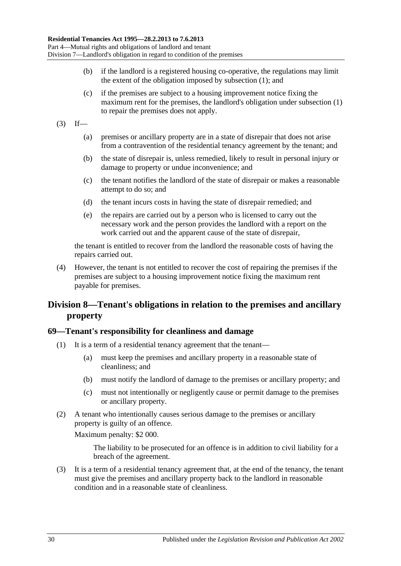- (b) if the landlord is a registered housing co-operative, the regulations may limit the extent of the obligation imposed by [subsection](#page-28-6) (1); and
- (c) if the premises are subject to a housing improvement notice fixing the maximum rent for the premises, the landlord's obligation under [subsection](#page-28-6) (1) to repair the premises does not apply.
- $(3)$  If—
	- (a) premises or ancillary property are in a state of disrepair that does not arise from a contravention of the residential tenancy agreement by the tenant; and
	- (b) the state of disrepair is, unless remedied, likely to result in personal injury or damage to property or undue inconvenience; and
	- (c) the tenant notifies the landlord of the state of disrepair or makes a reasonable attempt to do so; and
	- (d) the tenant incurs costs in having the state of disrepair remedied; and
	- (e) the repairs are carried out by a person who is licensed to carry out the necessary work and the person provides the landlord with a report on the work carried out and the apparent cause of the state of disrepair,

the tenant is entitled to recover from the landlord the reasonable costs of having the repairs carried out.

(4) However, the tenant is not entitled to recover the cost of repairing the premises if the premises are subject to a housing improvement notice fixing the maximum rent payable for premises.

## <span id="page-29-0"></span>**Division 8—Tenant's obligations in relation to the premises and ancillary property**

#### <span id="page-29-1"></span>**69—Tenant's responsibility for cleanliness and damage**

- (1) It is a term of a residential tenancy agreement that the tenant—
	- (a) must keep the premises and ancillary property in a reasonable state of cleanliness; and
	- (b) must notify the landlord of damage to the premises or ancillary property; and
	- (c) must not intentionally or negligently cause or permit damage to the premises or ancillary property.
- (2) A tenant who intentionally causes serious damage to the premises or ancillary property is guilty of an offence.

Maximum penalty: \$2 000.

The liability to be prosecuted for an offence is in addition to civil liability for a breach of the agreement.

(3) It is a term of a residential tenancy agreement that, at the end of the tenancy, the tenant must give the premises and ancillary property back to the landlord in reasonable condition and in a reasonable state of cleanliness.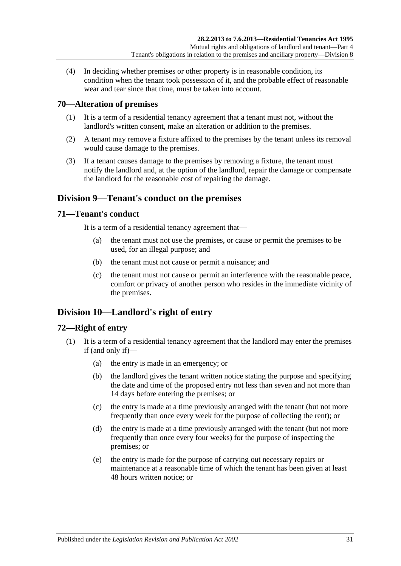(4) In deciding whether premises or other property is in reasonable condition, its condition when the tenant took possession of it, and the probable effect of reasonable wear and tear since that time, must be taken into account.

### <span id="page-30-0"></span>**70—Alteration of premises**

- (1) It is a term of a residential tenancy agreement that a tenant must not, without the landlord's written consent, make an alteration or addition to the premises.
- (2) A tenant may remove a fixture affixed to the premises by the tenant unless its removal would cause damage to the premises.
- (3) If a tenant causes damage to the premises by removing a fixture, the tenant must notify the landlord and, at the option of the landlord, repair the damage or compensate the landlord for the reasonable cost of repairing the damage.

## <span id="page-30-1"></span>**Division 9—Tenant's conduct on the premises**

#### <span id="page-30-2"></span>**71—Tenant's conduct**

It is a term of a residential tenancy agreement that—

- (a) the tenant must not use the premises, or cause or permit the premises to be used, for an illegal purpose; and
- (b) the tenant must not cause or permit a nuisance; and
- (c) the tenant must not cause or permit an interference with the reasonable peace, comfort or privacy of another person who resides in the immediate vicinity of the premises.

## <span id="page-30-3"></span>**Division 10—Landlord's right of entry**

### <span id="page-30-4"></span>**72—Right of entry**

- (1) It is a term of a residential tenancy agreement that the landlord may enter the premises if (and only if)—
	- (a) the entry is made in an emergency; or
	- (b) the landlord gives the tenant written notice stating the purpose and specifying the date and time of the proposed entry not less than seven and not more than 14 days before entering the premises; or
	- (c) the entry is made at a time previously arranged with the tenant (but not more frequently than once every week for the purpose of collecting the rent); or
	- (d) the entry is made at a time previously arranged with the tenant (but not more frequently than once every four weeks) for the purpose of inspecting the premises; or
	- (e) the entry is made for the purpose of carrying out necessary repairs or maintenance at a reasonable time of which the tenant has been given at least 48 hours written notice; or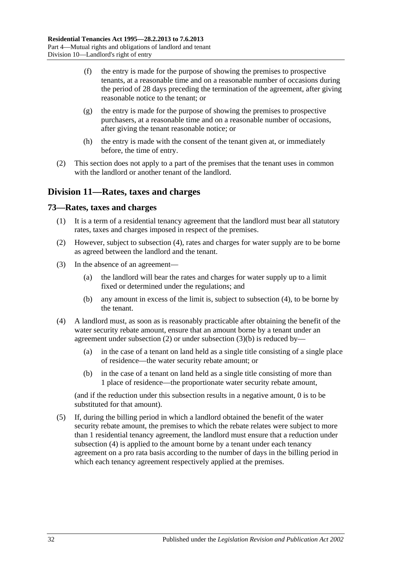- (f) the entry is made for the purpose of showing the premises to prospective tenants, at a reasonable time and on a reasonable number of occasions during the period of 28 days preceding the termination of the agreement, after giving reasonable notice to the tenant; or
- (g) the entry is made for the purpose of showing the premises to prospective purchasers, at a reasonable time and on a reasonable number of occasions, after giving the tenant reasonable notice; or
- (h) the entry is made with the consent of the tenant given at, or immediately before, the time of entry.
- (2) This section does not apply to a part of the premises that the tenant uses in common with the landlord or another tenant of the landlord.

## <span id="page-31-0"></span>**Division 11—Rates, taxes and charges**

#### <span id="page-31-1"></span>**73—Rates, taxes and charges**

- (1) It is a term of a residential tenancy agreement that the landlord must bear all statutory rates, taxes and charges imposed in respect of the premises.
- <span id="page-31-3"></span>(2) However, subject to [subsection](#page-31-2) (4), rates and charges for water supply are to be borne as agreed between the landlord and the tenant.
- (3) In the absence of an agreement—
	- (a) the landlord will bear the rates and charges for water supply up to a limit fixed or determined under the regulations; and
	- (b) any amount in excess of the limit is, subject to [subsection](#page-31-2) (4), to be borne by the tenant.
- <span id="page-31-4"></span><span id="page-31-2"></span>(4) A landlord must, as soon as is reasonably practicable after obtaining the benefit of the water security rebate amount, ensure that an amount borne by a tenant under an agreement under [subsection](#page-31-4)  $(2)$  or under subsection  $(3)(b)$  is reduced by-
	- (a) in the case of a tenant on land held as a single title consisting of a single place of residence—the water security rebate amount; or
	- (b) in the case of a tenant on land held as a single title consisting of more than 1 place of residence—the proportionate water security rebate amount,

(and if the reduction under this subsection results in a negative amount, 0 is to be substituted for that amount).

(5) If, during the billing period in which a landlord obtained the benefit of the water security rebate amount, the premises to which the rebate relates were subject to more than 1 residential tenancy agreement, the landlord must ensure that a reduction under [subsection](#page-31-2) (4) is applied to the amount borne by a tenant under each tenancy agreement on a pro rata basis according to the number of days in the billing period in which each tenancy agreement respectively applied at the premises.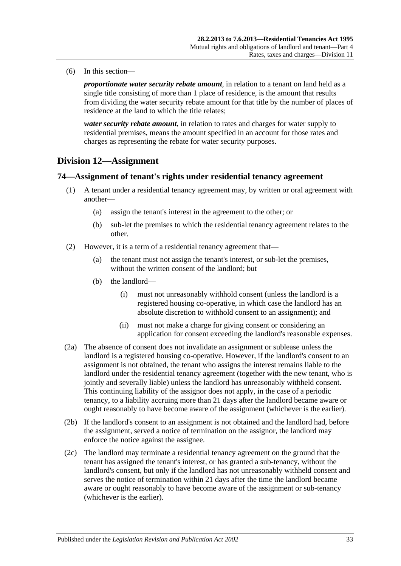(6) In this section—

*proportionate water security rebate amount*, in relation to a tenant on land held as a single title consisting of more than 1 place of residence, is the amount that results from dividing the water security rebate amount for that title by the number of places of residence at the land to which the title relates;

*water security rebate amount*, in relation to rates and charges for water supply to residential premises, means the amount specified in an account for those rates and charges as representing the rebate for water security purposes.

## <span id="page-32-0"></span>**Division 12—Assignment**

### <span id="page-32-1"></span>**74—Assignment of tenant's rights under residential tenancy agreement**

- (1) A tenant under a residential tenancy agreement may, by written or oral agreement with another—
	- (a) assign the tenant's interest in the agreement to the other; or
	- (b) sub-let the premises to which the residential tenancy agreement relates to the other.
- (2) However, it is a term of a residential tenancy agreement that—
	- (a) the tenant must not assign the tenant's interest, or sub-let the premises, without the written consent of the landlord; but
	- (b) the landlord—
		- (i) must not unreasonably withhold consent (unless the landlord is a registered housing co-operative, in which case the landlord has an absolute discretion to withhold consent to an assignment); and
		- (ii) must not make a charge for giving consent or considering an application for consent exceeding the landlord's reasonable expenses.
- (2a) The absence of consent does not invalidate an assignment or sublease unless the landlord is a registered housing co-operative. However, if the landlord's consent to an assignment is not obtained, the tenant who assigns the interest remains liable to the landlord under the residential tenancy agreement (together with the new tenant, who is jointly and severally liable) unless the landlord has unreasonably withheld consent. This continuing liability of the assignor does not apply, in the case of a periodic tenancy, to a liability accruing more than 21 days after the landlord became aware or ought reasonably to have become aware of the assignment (whichever is the earlier).
- (2b) If the landlord's consent to an assignment is not obtained and the landlord had, before the assignment, served a notice of termination on the assignor, the landlord may enforce the notice against the assignee.
- (2c) The landlord may terminate a residential tenancy agreement on the ground that the tenant has assigned the tenant's interest, or has granted a sub-tenancy, without the landlord's consent, but only if the landlord has not unreasonably withheld consent and serves the notice of termination within 21 days after the time the landlord became aware or ought reasonably to have become aware of the assignment or sub-tenancy (whichever is the earlier).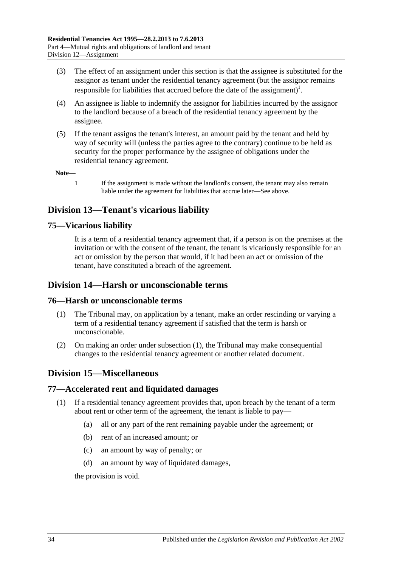- (3) The effect of an assignment under this section is that the assignee is substituted for the assignor as tenant under the residential tenancy agreement (but the assignor remains responsible for liabilities that accrued before the date of the assignment)<sup>1</sup>.
- (4) An assignee is liable to indemnify the assignor for liabilities incurred by the assignor to the landlord because of a breach of the residential tenancy agreement by the assignee.
- (5) If the tenant assigns the tenant's interest, an amount paid by the tenant and held by way of security will (unless the parties agree to the contrary) continue to be held as security for the proper performance by the assignee of obligations under the residential tenancy agreement.

**Note—**

1 If the assignment is made without the landlord's consent, the tenant may also remain liable under the agreement for liabilities that accrue later—See above.

## <span id="page-33-0"></span>**Division 13—Tenant's vicarious liability**

## <span id="page-33-1"></span>**75—Vicarious liability**

It is a term of a residential tenancy agreement that, if a person is on the premises at the invitation or with the consent of the tenant, the tenant is vicariously responsible for an act or omission by the person that would, if it had been an act or omission of the tenant, have constituted a breach of the agreement.

## <span id="page-33-2"></span>**Division 14—Harsh or unconscionable terms**

### <span id="page-33-6"></span><span id="page-33-3"></span>**76—Harsh or unconscionable terms**

- (1) The Tribunal may, on application by a tenant, make an order rescinding or varying a term of a residential tenancy agreement if satisfied that the term is harsh or unconscionable.
- (2) On making an order under [subsection](#page-33-6) (1), the Tribunal may make consequential changes to the residential tenancy agreement or another related document.

## <span id="page-33-4"></span>**Division 15—Miscellaneous**

### <span id="page-33-5"></span>**77—Accelerated rent and liquidated damages**

- (1) If a residential tenancy agreement provides that, upon breach by the tenant of a term about rent or other term of the agreement, the tenant is liable to pay—
	- (a) all or any part of the rent remaining payable under the agreement; or
	- (b) rent of an increased amount; or
	- (c) an amount by way of penalty; or
	- (d) an amount by way of liquidated damages,

the provision is void.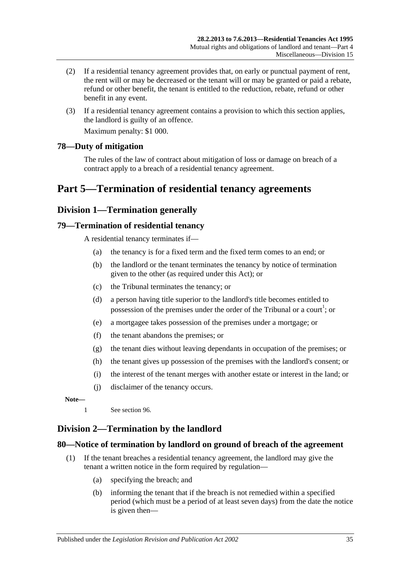- (2) If a residential tenancy agreement provides that, on early or punctual payment of rent, the rent will or may be decreased or the tenant will or may be granted or paid a rebate, refund or other benefit, the tenant is entitled to the reduction, rebate, refund or other benefit in any event.
- (3) If a residential tenancy agreement contains a provision to which this section applies, the landlord is guilty of an offence.

Maximum penalty: \$1 000.

### <span id="page-34-0"></span>**78—Duty of mitigation**

The rules of the law of contract about mitigation of loss or damage on breach of a contract apply to a breach of a residential tenancy agreement.

## <span id="page-34-1"></span>**Part 5—Termination of residential tenancy agreements**

## <span id="page-34-2"></span>**Division 1—Termination generally**

#### <span id="page-34-3"></span>**79—Termination of residential tenancy**

A residential tenancy terminates if—

- (a) the tenancy is for a fixed term and the fixed term comes to an end; or
- (b) the landlord or the tenant terminates the tenancy by notice of termination given to the other (as required under this Act); or
- (c) the Tribunal terminates the tenancy; or
- (d) a person having title superior to the landlord's title becomes entitled to possession of the premises under the order of the Tribunal or a court<sup>1</sup>; or
- (e) a mortgagee takes possession of the premises under a mortgage; or
- (f) the tenant abandons the premises; or
- (g) the tenant dies without leaving dependants in occupation of the premises; or
- (h) the tenant gives up possession of the premises with the landlord's consent; or
- (i) the interest of the tenant merges with another estate or interest in the land; or
- (j) disclaimer of the tenancy occurs.

**Note—**

1 See [section](#page-42-0) 96.

## <span id="page-34-4"></span>**Division 2—Termination by the landlord**

#### <span id="page-34-5"></span>**80—Notice of termination by landlord on ground of breach of the agreement**

- (1) If the tenant breaches a residential tenancy agreement, the landlord may give the tenant a written notice in the form required by regulation—
	- (a) specifying the breach; and
	- (b) informing the tenant that if the breach is not remedied within a specified period (which must be a period of at least seven days) from the date the notice is given then—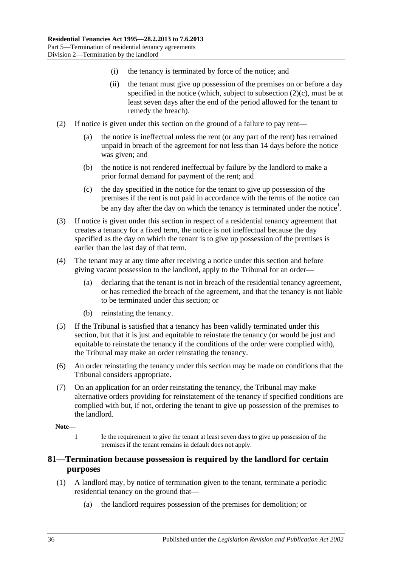- (i) the tenancy is terminated by force of the notice; and
- (ii) the tenant must give up possession of the premises on or before a day specified in the notice (which, subject to [subsection](#page-35-1)  $(2)(c)$ , must be at least seven days after the end of the period allowed for the tenant to remedy the breach).
- (2) If notice is given under this section on the ground of a failure to pay rent—
	- (a) the notice is ineffectual unless the rent (or any part of the rent) has remained unpaid in breach of the agreement for not less than 14 days before the notice was given; and
	- (b) the notice is not rendered ineffectual by failure by the landlord to make a prior formal demand for payment of the rent; and
	- (c) the day specified in the notice for the tenant to give up possession of the premises if the rent is not paid in accordance with the terms of the notice can be any day after the day on which the tenancy is terminated under the notice<sup>1</sup>.
- <span id="page-35-1"></span>(3) If notice is given under this section in respect of a residential tenancy agreement that creates a tenancy for a fixed term, the notice is not ineffectual because the day specified as the day on which the tenant is to give up possession of the premises is earlier than the last day of that term.
- (4) The tenant may at any time after receiving a notice under this section and before giving vacant possession to the landlord, apply to the Tribunal for an order—
	- (a) declaring that the tenant is not in breach of the residential tenancy agreement, or has remedied the breach of the agreement, and that the tenancy is not liable to be terminated under this section; or
	- (b) reinstating the tenancy.
- (5) If the Tribunal is satisfied that a tenancy has been validly terminated under this section, but that it is just and equitable to reinstate the tenancy (or would be just and equitable to reinstate the tenancy if the conditions of the order were complied with), the Tribunal may make an order reinstating the tenancy.
- (6) An order reinstating the tenancy under this section may be made on conditions that the Tribunal considers appropriate.
- (7) On an application for an order reinstating the tenancy, the Tribunal may make alternative orders providing for reinstatement of the tenancy if specified conditions are complied with but, if not, ordering the tenant to give up possession of the premises to the landlord.

#### **Note—**

1 Ie the requirement to give the tenant at least seven days to give up possession of the premises if the tenant remains in default does not apply.

### <span id="page-35-0"></span>**81—Termination because possession is required by the landlord for certain purposes**

- (1) A landlord may, by notice of termination given to the tenant, terminate a periodic residential tenancy on the ground that—
	- (a) the landlord requires possession of the premises for demolition; or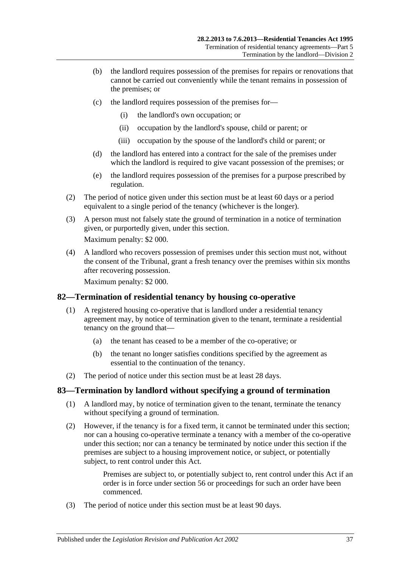- (b) the landlord requires possession of the premises for repairs or renovations that cannot be carried out conveniently while the tenant remains in possession of the premises; or
- (c) the landlord requires possession of the premises for—
	- (i) the landlord's own occupation; or
	- (ii) occupation by the landlord's spouse, child or parent; or
	- (iii) occupation by the spouse of the landlord's child or parent; or
- (d) the landlord has entered into a contract for the sale of the premises under which the landlord is required to give vacant possession of the premises; or
- (e) the landlord requires possession of the premises for a purpose prescribed by regulation.
- (2) The period of notice given under this section must be at least 60 days or a period equivalent to a single period of the tenancy (whichever is the longer).
- (3) A person must not falsely state the ground of termination in a notice of termination given, or purportedly given, under this section.

Maximum penalty: \$2 000.

(4) A landlord who recovers possession of premises under this section must not, without the consent of the Tribunal, grant a fresh tenancy over the premises within six months after recovering possession.

Maximum penalty: \$2 000.

### <span id="page-36-0"></span>**82—Termination of residential tenancy by housing co-operative**

- (1) A registered housing co-operative that is landlord under a residential tenancy agreement may, by notice of termination given to the tenant, terminate a residential tenancy on the ground that—
	- (a) the tenant has ceased to be a member of the co-operative; or
	- (b) the tenant no longer satisfies conditions specified by the agreement as essential to the continuation of the tenancy.
- (2) The period of notice under this section must be at least 28 days.

### <span id="page-36-1"></span>**83—Termination by landlord without specifying a ground of termination**

- (1) A landlord may, by notice of termination given to the tenant, terminate the tenancy without specifying a ground of termination.
- (2) However, if the tenancy is for a fixed term, it cannot be terminated under this section; nor can a housing co-operative terminate a tenancy with a member of the co-operative under this section; nor can a tenancy be terminated by notice under this section if the premises are subject to a housing improvement notice, or subject, or potentially subject, to rent control under this Act.

Premises are subject to, or potentially subject to, rent control under this Act if an order is in force under [section](#page-22-0) 56 or proceedings for such an order have been commenced.

(3) The period of notice under this section must be at least 90 days.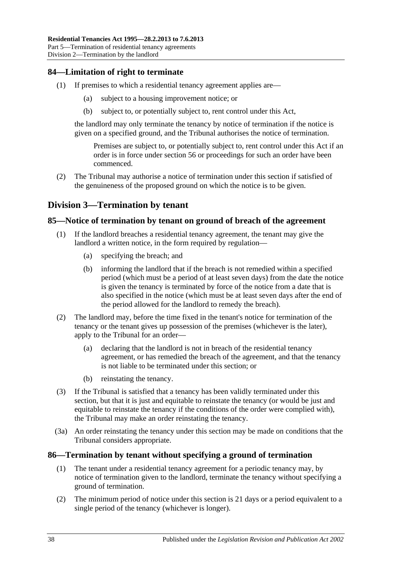## <span id="page-37-0"></span>**84—Limitation of right to terminate**

- (1) If premises to which a residential tenancy agreement applies are—
	- (a) subject to a housing improvement notice; or
	- (b) subject to, or potentially subject to, rent control under this Act,

the landlord may only terminate the tenancy by notice of termination if the notice is given on a specified ground, and the Tribunal authorises the notice of termination.

Premises are subject to, or potentially subject to, rent control under this Act if an order is in force under [section](#page-22-0) 56 or proceedings for such an order have been commenced.

(2) The Tribunal may authorise a notice of termination under this section if satisfied of the genuineness of the proposed ground on which the notice is to be given.

## <span id="page-37-1"></span>**Division 3—Termination by tenant**

### <span id="page-37-2"></span>**85—Notice of termination by tenant on ground of breach of the agreement**

- (1) If the landlord breaches a residential tenancy agreement, the tenant may give the landlord a written notice, in the form required by regulation—
	- (a) specifying the breach; and
	- (b) informing the landlord that if the breach is not remedied within a specified period (which must be a period of at least seven days) from the date the notice is given the tenancy is terminated by force of the notice from a date that is also specified in the notice (which must be at least seven days after the end of the period allowed for the landlord to remedy the breach).
- (2) The landlord may, before the time fixed in the tenant's notice for termination of the tenancy or the tenant gives up possession of the premises (whichever is the later), apply to the Tribunal for an order—
	- (a) declaring that the landlord is not in breach of the residential tenancy agreement, or has remedied the breach of the agreement, and that the tenancy is not liable to be terminated under this section; or
	- (b) reinstating the tenancy.
- (3) If the Tribunal is satisfied that a tenancy has been validly terminated under this section, but that it is just and equitable to reinstate the tenancy (or would be just and equitable to reinstate the tenancy if the conditions of the order were complied with). the Tribunal may make an order reinstating the tenancy.
- (3a) An order reinstating the tenancy under this section may be made on conditions that the Tribunal considers appropriate.

#### <span id="page-37-3"></span>**86—Termination by tenant without specifying a ground of termination**

- (1) The tenant under a residential tenancy agreement for a periodic tenancy may, by notice of termination given to the landlord, terminate the tenancy without specifying a ground of termination.
- (2) The minimum period of notice under this section is 21 days or a period equivalent to a single period of the tenancy (whichever is longer).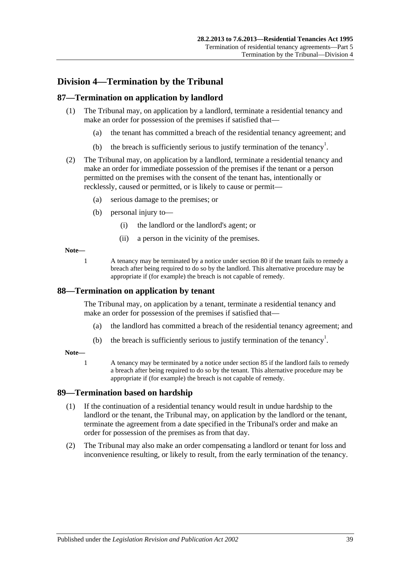## <span id="page-38-0"></span>**Division 4—Termination by the Tribunal**

## <span id="page-38-1"></span>**87—Termination on application by landlord**

- (1) The Tribunal may, on application by a landlord, terminate a residential tenancy and make an order for possession of the premises if satisfied that—
	- (a) the tenant has committed a breach of the residential tenancy agreement; and
	- (b) the breach is sufficiently serious to justify termination of the tenancy<sup>1</sup>.
- (2) The Tribunal may, on application by a landlord, terminate a residential tenancy and make an order for immediate possession of the premises if the tenant or a person permitted on the premises with the consent of the tenant has, intentionally or recklessly, caused or permitted, or is likely to cause or permit—
	- (a) serious damage to the premises; or
	- (b) personal injury to—
		- (i) the landlord or the landlord's agent; or
		- (ii) a person in the vicinity of the premises.

#### **Note—**

1 A tenancy may be terminated by a notice under [section](#page-34-5) 80 if the tenant fails to remedy a breach after being required to do so by the landlord. This alternative procedure may be appropriate if (for example) the breach is not capable of remedy.

### <span id="page-38-2"></span>**88—Termination on application by tenant**

The Tribunal may, on application by a tenant, terminate a residential tenancy and make an order for possession of the premises if satisfied that—

- (a) the landlord has committed a breach of the residential tenancy agreement; and
- (b) the breach is sufficiently serious to justify termination of the tenancy<sup>1</sup>.

#### **Note—**

1 A tenancy may be terminated by a notice under [section](#page-37-2) 85 if the landlord fails to remedy a breach after being required to do so by the tenant. This alternative procedure may be appropriate if (for example) the breach is not capable of remedy.

### <span id="page-38-3"></span>**89—Termination based on hardship**

- (1) If the continuation of a residential tenancy would result in undue hardship to the landlord or the tenant, the Tribunal may, on application by the landlord or the tenant, terminate the agreement from a date specified in the Tribunal's order and make an order for possession of the premises as from that day.
- (2) The Tribunal may also make an order compensating a landlord or tenant for loss and inconvenience resulting, or likely to result, from the early termination of the tenancy.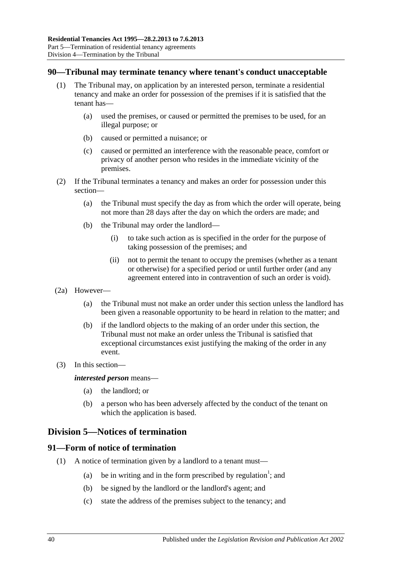#### <span id="page-39-0"></span>**90—Tribunal may terminate tenancy where tenant's conduct unacceptable**

- (1) The Tribunal may, on application by an interested person, terminate a residential tenancy and make an order for possession of the premises if it is satisfied that the tenant has—
	- (a) used the premises, or caused or permitted the premises to be used, for an illegal purpose; or
	- (b) caused or permitted a nuisance; or
	- (c) caused or permitted an interference with the reasonable peace, comfort or privacy of another person who resides in the immediate vicinity of the premises.
- (2) If the Tribunal terminates a tenancy and makes an order for possession under this section—
	- (a) the Tribunal must specify the day as from which the order will operate, being not more than 28 days after the day on which the orders are made; and
	- (b) the Tribunal may order the landlord—
		- (i) to take such action as is specified in the order for the purpose of taking possession of the premises; and
		- (ii) not to permit the tenant to occupy the premises (whether as a tenant or otherwise) for a specified period or until further order (and any agreement entered into in contravention of such an order is void).
- (2a) However—
	- (a) the Tribunal must not make an order under this section unless the landlord has been given a reasonable opportunity to be heard in relation to the matter; and
	- (b) if the landlord objects to the making of an order under this section, the Tribunal must not make an order unless the Tribunal is satisfied that exceptional circumstances exist justifying the making of the order in any event.
- (3) In this section—

#### *interested person* means—

- (a) the landlord; or
- (b) a person who has been adversely affected by the conduct of the tenant on which the application is based.

## <span id="page-39-1"></span>**Division 5—Notices of termination**

### <span id="page-39-2"></span>**91—Form of notice of termination**

- (1) A notice of termination given by a landlord to a tenant must—
	- (a) be in writing and in the form prescribed by regulation<sup>1</sup>; and
	- (b) be signed by the landlord or the landlord's agent; and
	- (c) state the address of the premises subject to the tenancy; and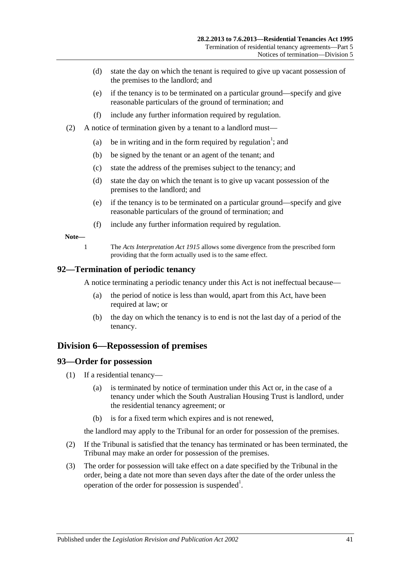- (d) state the day on which the tenant is required to give up vacant possession of the premises to the landlord; and
- (e) if the tenancy is to be terminated on a particular ground—specify and give reasonable particulars of the ground of termination; and
- (f) include any further information required by regulation.
- (2) A notice of termination given by a tenant to a landlord must—
	- (a) be in writing and in the form required by regulation<sup>1</sup>; and
	- (b) be signed by the tenant or an agent of the tenant; and
	- (c) state the address of the premises subject to the tenancy; and
	- (d) state the day on which the tenant is to give up vacant possession of the premises to the landlord; and
	- (e) if the tenancy is to be terminated on a particular ground—specify and give reasonable particulars of the ground of termination; and
	- (f) include any further information required by regulation.

#### **Note—**

1 The *[Acts Interpretation Act](http://www.legislation.sa.gov.au/index.aspx?action=legref&type=act&legtitle=Acts%20Interpretation%20Act%201915) 1915* allows some divergence from the prescribed form providing that the form actually used is to the same effect.

#### <span id="page-40-0"></span>**92—Termination of periodic tenancy**

A notice terminating a periodic tenancy under this Act is not ineffectual because—

- (a) the period of notice is less than would, apart from this Act, have been required at law; or
- (b) the day on which the tenancy is to end is not the last day of a period of the tenancy.

### <span id="page-40-1"></span>**Division 6—Repossession of premises**

#### <span id="page-40-2"></span>**93—Order for possession**

- (1) If a residential tenancy—
	- (a) is terminated by notice of termination under this Act or, in the case of a tenancy under which the South Australian Housing Trust is landlord, under the residential tenancy agreement; or
	- (b) is for a fixed term which expires and is not renewed,

the landlord may apply to the Tribunal for an order for possession of the premises.

- (2) If the Tribunal is satisfied that the tenancy has terminated or has been terminated, the Tribunal may make an order for possession of the premises.
- (3) The order for possession will take effect on a date specified by the Tribunal in the order, being a date not more than seven days after the date of the order unless the operation of the order for possession is suspended<sup>1</sup>.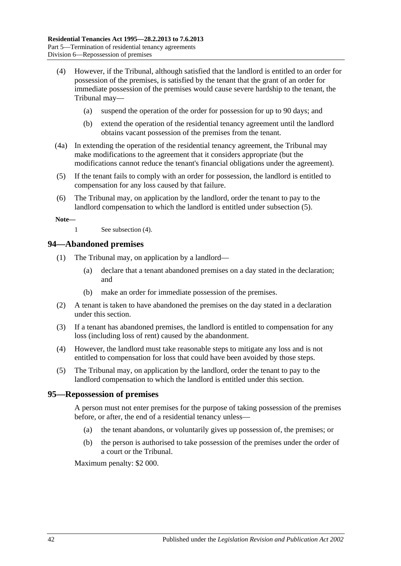- <span id="page-41-3"></span>(4) However, if the Tribunal, although satisfied that the landlord is entitled to an order for possession of the premises, is satisfied by the tenant that the grant of an order for immediate possession of the premises would cause severe hardship to the tenant, the Tribunal may—
	- (a) suspend the operation of the order for possession for up to 90 days; and
	- (b) extend the operation of the residential tenancy agreement until the landlord obtains vacant possession of the premises from the tenant.
- (4a) In extending the operation of the residential tenancy agreement, the Tribunal may make modifications to the agreement that it considers appropriate (but the modifications cannot reduce the tenant's financial obligations under the agreement).
- <span id="page-41-2"></span>(5) If the tenant fails to comply with an order for possession, the landlord is entitled to compensation for any loss caused by that failure.
- (6) The Tribunal may, on application by the landlord, order the tenant to pay to the landlord compensation to which the landlord is entitled under [subsection](#page-41-2) (5).

**Note—**

1 See [subsection](#page-41-3) (4).

#### <span id="page-41-0"></span>**94—Abandoned premises**

- (1) The Tribunal may, on application by a landlord—
	- (a) declare that a tenant abandoned premises on a day stated in the declaration; and
	- (b) make an order for immediate possession of the premises.
- (2) A tenant is taken to have abandoned the premises on the day stated in a declaration under this section.
- (3) If a tenant has abandoned premises, the landlord is entitled to compensation for any loss (including loss of rent) caused by the abandonment.
- (4) However, the landlord must take reasonable steps to mitigate any loss and is not entitled to compensation for loss that could have been avoided by those steps.
- (5) The Tribunal may, on application by the landlord, order the tenant to pay to the landlord compensation to which the landlord is entitled under this section.

#### <span id="page-41-1"></span>**95—Repossession of premises**

A person must not enter premises for the purpose of taking possession of the premises before, or after, the end of a residential tenancy unless—

- (a) the tenant abandons, or voluntarily gives up possession of, the premises; or
- (b) the person is authorised to take possession of the premises under the order of a court or the Tribunal.

Maximum penalty: \$2 000.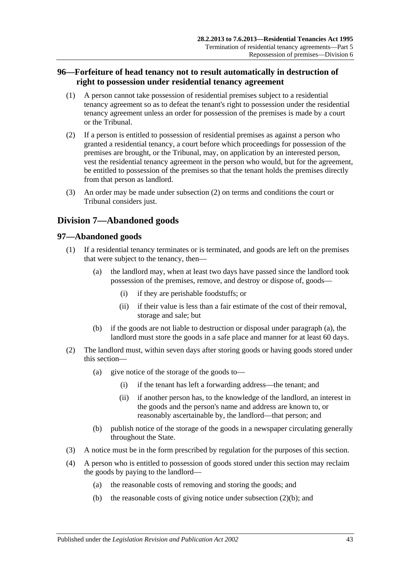## <span id="page-42-0"></span>**96—Forfeiture of head tenancy not to result automatically in destruction of right to possession under residential tenancy agreement**

- (1) A person cannot take possession of residential premises subject to a residential tenancy agreement so as to defeat the tenant's right to possession under the residential tenancy agreement unless an order for possession of the premises is made by a court or the Tribunal.
- <span id="page-42-3"></span>(2) If a person is entitled to possession of residential premises as against a person who granted a residential tenancy, a court before which proceedings for possession of the premises are brought, or the Tribunal, may, on application by an interested person, vest the residential tenancy agreement in the person who would, but for the agreement, be entitled to possession of the premises so that the tenant holds the premises directly from that person as landlord.
- (3) An order may be made under [subsection](#page-42-3) (2) on terms and conditions the court or Tribunal considers just.

## <span id="page-42-1"></span>**Division 7—Abandoned goods**

### <span id="page-42-2"></span>**97—Abandoned goods**

- <span id="page-42-4"></span>(1) If a residential tenancy terminates or is terminated, and goods are left on the premises that were subject to the tenancy, then—
	- (a) the landlord may, when at least two days have passed since the landlord took possession of the premises, remove, and destroy or dispose of, goods—
		- (i) if they are perishable foodstuffs; or
		- (ii) if their value is less than a fair estimate of the cost of their removal, storage and sale; but
	- (b) if the goods are not liable to destruction or disposal under [paragraph](#page-42-4) (a), the landlord must store the goods in a safe place and manner for at least 60 days.
- (2) The landlord must, within seven days after storing goods or having goods stored under this section—
	- (a) give notice of the storage of the goods to—
		- (i) if the tenant has left a forwarding address—the tenant; and
		- (ii) if another person has, to the knowledge of the landlord, an interest in the goods and the person's name and address are known to, or reasonably ascertainable by, the landlord—that person; and
	- (b) publish notice of the storage of the goods in a newspaper circulating generally throughout the State.
- <span id="page-42-5"></span>(3) A notice must be in the form prescribed by regulation for the purposes of this section.
- (4) A person who is entitled to possession of goods stored under this section may reclaim the goods by paying to the landlord—
	- (a) the reasonable costs of removing and storing the goods; and
	- (b) the reasonable costs of giving notice under [subsection](#page-42-5)  $(2)(b)$ ; and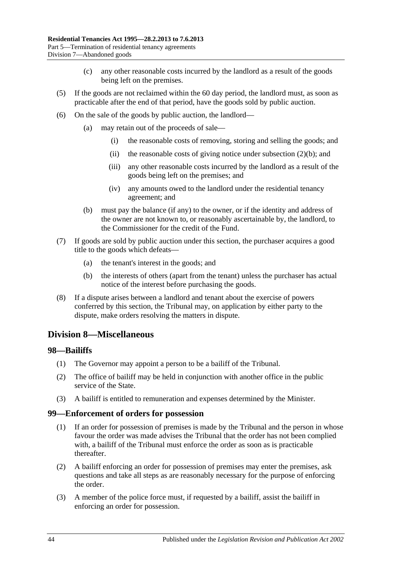- (c) any other reasonable costs incurred by the landlord as a result of the goods being left on the premises.
- (5) If the goods are not reclaimed within the 60 day period, the landlord must, as soon as practicable after the end of that period, have the goods sold by public auction.
- (6) On the sale of the goods by public auction, the landlord—
	- (a) may retain out of the proceeds of sale—
		- (i) the reasonable costs of removing, storing and selling the goods; and
		- (ii) the reasonable costs of giving notice under [subsection](#page-42-5)  $(2)(b)$ ; and
		- (iii) any other reasonable costs incurred by the landlord as a result of the goods being left on the premises; and
		- (iv) any amounts owed to the landlord under the residential tenancy agreement; and
	- (b) must pay the balance (if any) to the owner, or if the identity and address of the owner are not known to, or reasonably ascertainable by, the landlord, to the Commissioner for the credit of the Fund.
- (7) If goods are sold by public auction under this section, the purchaser acquires a good title to the goods which defeats—
	- (a) the tenant's interest in the goods; and
	- (b) the interests of others (apart from the tenant) unless the purchaser has actual notice of the interest before purchasing the goods.
- (8) If a dispute arises between a landlord and tenant about the exercise of powers conferred by this section, the Tribunal may, on application by either party to the dispute, make orders resolving the matters in dispute.

## <span id="page-43-0"></span>**Division 8—Miscellaneous**

### <span id="page-43-1"></span>**98—Bailiffs**

- (1) The Governor may appoint a person to be a bailiff of the Tribunal.
- (2) The office of bailiff may be held in conjunction with another office in the public service of the State.
- (3) A bailiff is entitled to remuneration and expenses determined by the Minister.

#### <span id="page-43-2"></span>**99—Enforcement of orders for possession**

- (1) If an order for possession of premises is made by the Tribunal and the person in whose favour the order was made advises the Tribunal that the order has not been complied with, a bailiff of the Tribunal must enforce the order as soon as is practicable thereafter.
- (2) A bailiff enforcing an order for possession of premises may enter the premises, ask questions and take all steps as are reasonably necessary for the purpose of enforcing the order.
- (3) A member of the police force must, if requested by a bailiff, assist the bailiff in enforcing an order for possession.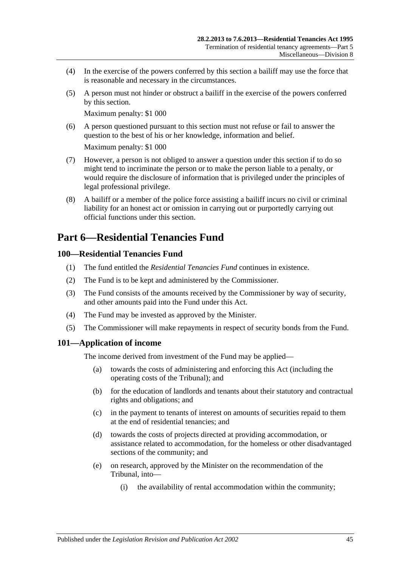- (4) In the exercise of the powers conferred by this section a bailiff may use the force that is reasonable and necessary in the circumstances.
- (5) A person must not hinder or obstruct a bailiff in the exercise of the powers conferred by this section.

Maximum penalty: \$1 000

(6) A person questioned pursuant to this section must not refuse or fail to answer the question to the best of his or her knowledge, information and belief.

Maximum penalty: \$1 000

- (7) However, a person is not obliged to answer a question under this section if to do so might tend to incriminate the person or to make the person liable to a penalty, or would require the disclosure of information that is privileged under the principles of legal professional privilege.
- (8) A bailiff or a member of the police force assisting a bailiff incurs no civil or criminal liability for an honest act or omission in carrying out or purportedly carrying out official functions under this section.

## <span id="page-44-0"></span>**Part 6—Residential Tenancies Fund**

## <span id="page-44-1"></span>**100—Residential Tenancies Fund**

- (1) The fund entitled the *Residential Tenancies Fund* continues in existence.
- (2) The Fund is to be kept and administered by the Commissioner.
- (3) The Fund consists of the amounts received by the Commissioner by way of security, and other amounts paid into the Fund under this Act.
- (4) The Fund may be invested as approved by the Minister.
- (5) The Commissioner will make repayments in respect of security bonds from the Fund.

### <span id="page-44-2"></span>**101—Application of income**

The income derived from investment of the Fund may be applied—

- (a) towards the costs of administering and enforcing this Act (including the operating costs of the Tribunal); and
- (b) for the education of landlords and tenants about their statutory and contractual rights and obligations; and
- (c) in the payment to tenants of interest on amounts of securities repaid to them at the end of residential tenancies; and
- (d) towards the costs of projects directed at providing accommodation, or assistance related to accommodation, for the homeless or other disadvantaged sections of the community; and
- (e) on research, approved by the Minister on the recommendation of the Tribunal, into—
	- (i) the availability of rental accommodation within the community;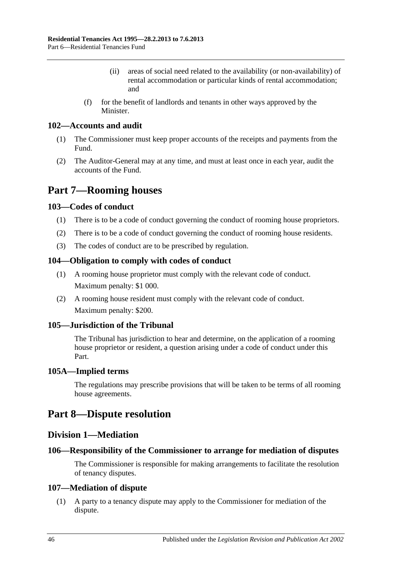- (ii) areas of social need related to the availability (or non-availability) of rental accommodation or particular kinds of rental accommodation; and
- (f) for the benefit of landlords and tenants in other ways approved by the **Minister**

### <span id="page-45-0"></span>**102—Accounts and audit**

- (1) The Commissioner must keep proper accounts of the receipts and payments from the Fund.
- (2) The Auditor-General may at any time, and must at least once in each year, audit the accounts of the Fund.

## <span id="page-45-1"></span>**Part 7—Rooming houses**

## <span id="page-45-2"></span>**103—Codes of conduct**

- (1) There is to be a code of conduct governing the conduct of rooming house proprietors.
- (2) There is to be a code of conduct governing the conduct of rooming house residents.
- (3) The codes of conduct are to be prescribed by regulation.

## <span id="page-45-3"></span>**104—Obligation to comply with codes of conduct**

- (1) A rooming house proprietor must comply with the relevant code of conduct. Maximum penalty: \$1 000.
- (2) A rooming house resident must comply with the relevant code of conduct. Maximum penalty: \$200.

## <span id="page-45-4"></span>**105—Jurisdiction of the Tribunal**

The Tribunal has jurisdiction to hear and determine, on the application of a rooming house proprietor or resident, a question arising under a code of conduct under this Part.

### <span id="page-45-5"></span>**105A—Implied terms**

The regulations may prescribe provisions that will be taken to be terms of all rooming house agreements.

## <span id="page-45-7"></span><span id="page-45-6"></span>**Part 8—Dispute resolution**

## **Division 1—Mediation**

## <span id="page-45-8"></span>**106—Responsibility of the Commissioner to arrange for mediation of disputes**

The Commissioner is responsible for making arrangements to facilitate the resolution of tenancy disputes.

### <span id="page-45-9"></span>**107—Mediation of dispute**

(1) A party to a tenancy dispute may apply to the Commissioner for mediation of the dispute.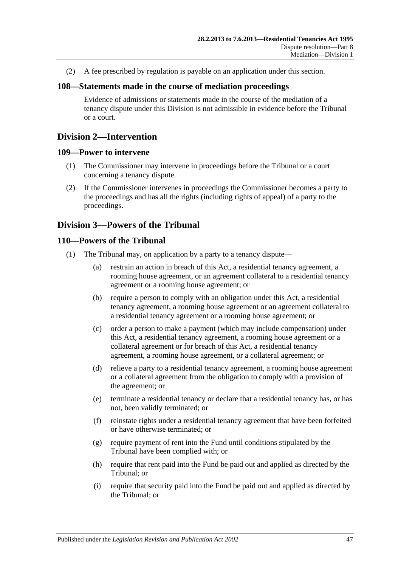(2) A fee prescribed by regulation is payable on an application under this section.

#### <span id="page-46-0"></span>**108—Statements made in the course of mediation proceedings**

Evidence of admissions or statements made in the course of the mediation of a tenancy dispute under this Division is not admissible in evidence before the Tribunal or a court.

## <span id="page-46-1"></span>**Division 2—Intervention**

#### <span id="page-46-2"></span>**109—Power to intervene**

- (1) The Commissioner may intervene in proceedings before the Tribunal or a court concerning a tenancy dispute.
- (2) If the Commissioner intervenes in proceedings the Commissioner becomes a party to the proceedings and has all the rights (including rights of appeal) of a party to the proceedings.

## <span id="page-46-3"></span>**Division 3—Powers of the Tribunal**

#### <span id="page-46-4"></span>**110—Powers of the Tribunal**

- (1) The Tribunal may, on application by a party to a tenancy dispute—
	- (a) restrain an action in breach of this Act, a residential tenancy agreement, a rooming house agreement, or an agreement collateral to a residential tenancy agreement or a rooming house agreement; or
	- (b) require a person to comply with an obligation under this Act, a residential tenancy agreement, a rooming house agreement or an agreement collateral to a residential tenancy agreement or a rooming house agreement; or
	- (c) order a person to make a payment (which may include compensation) under this Act, a residential tenancy agreement, a rooming house agreement or a collateral agreement or for breach of this Act, a residential tenancy agreement, a rooming house agreement, or a collateral agreement; or
	- (d) relieve a party to a residential tenancy agreement, a rooming house agreement or a collateral agreement from the obligation to comply with a provision of the agreement; or
	- (e) terminate a residential tenancy or declare that a residential tenancy has, or has not, been validly terminated; or
	- (f) reinstate rights under a residential tenancy agreement that have been forfeited or have otherwise terminated; or
	- (g) require payment of rent into the Fund until conditions stipulated by the Tribunal have been complied with; or
	- (h) require that rent paid into the Fund be paid out and applied as directed by the Tribunal; or
	- (i) require that security paid into the Fund be paid out and applied as directed by the Tribunal; or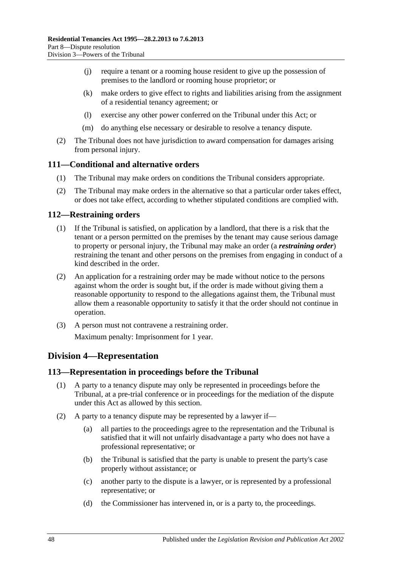- (j) require a tenant or a rooming house resident to give up the possession of premises to the landlord or rooming house proprietor; or
- (k) make orders to give effect to rights and liabilities arising from the assignment of a residential tenancy agreement; or
- (l) exercise any other power conferred on the Tribunal under this Act; or
- (m) do anything else necessary or desirable to resolve a tenancy dispute.
- (2) The Tribunal does not have jurisdiction to award compensation for damages arising from personal injury.

#### <span id="page-47-0"></span>**111—Conditional and alternative orders**

- (1) The Tribunal may make orders on conditions the Tribunal considers appropriate.
- (2) The Tribunal may make orders in the alternative so that a particular order takes effect, or does not take effect, according to whether stipulated conditions are complied with.

#### <span id="page-47-1"></span>**112—Restraining orders**

- (1) If the Tribunal is satisfied, on application by a landlord, that there is a risk that the tenant or a person permitted on the premises by the tenant may cause serious damage to property or personal injury, the Tribunal may make an order (a *restraining order*) restraining the tenant and other persons on the premises from engaging in conduct of a kind described in the order.
- (2) An application for a restraining order may be made without notice to the persons against whom the order is sought but, if the order is made without giving them a reasonable opportunity to respond to the allegations against them, the Tribunal must allow them a reasonable opportunity to satisfy it that the order should not continue in operation.
- (3) A person must not contravene a restraining order. Maximum penalty: Imprisonment for 1 year.

## <span id="page-47-2"></span>**Division 4—Representation**

### <span id="page-47-3"></span>**113—Representation in proceedings before the Tribunal**

- (1) A party to a tenancy dispute may only be represented in proceedings before the Tribunal, at a pre-trial conference or in proceedings for the mediation of the dispute under this Act as allowed by this section.
- (2) A party to a tenancy dispute may be represented by a lawyer if—
	- (a) all parties to the proceedings agree to the representation and the Tribunal is satisfied that it will not unfairly disadvantage a party who does not have a professional representative; or
	- (b) the Tribunal is satisfied that the party is unable to present the party's case properly without assistance; or
	- (c) another party to the dispute is a lawyer, or is represented by a professional representative; or
	- (d) the Commissioner has intervened in, or is a party to, the proceedings.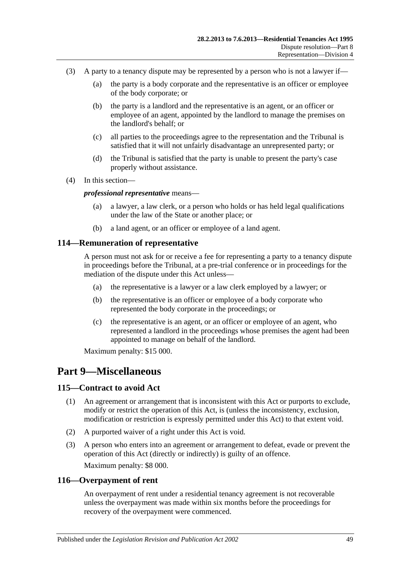- (3) A party to a tenancy dispute may be represented by a person who is not a lawyer if—
	- (a) the party is a body corporate and the representative is an officer or employee of the body corporate; or
	- (b) the party is a landlord and the representative is an agent, or an officer or employee of an agent, appointed by the landlord to manage the premises on the landlord's behalf; or
	- (c) all parties to the proceedings agree to the representation and the Tribunal is satisfied that it will not unfairly disadvantage an unrepresented party; or
	- (d) the Tribunal is satisfied that the party is unable to present the party's case properly without assistance.
- (4) In this section—

#### *professional representative* means—

- (a) a lawyer, a law clerk, or a person who holds or has held legal qualifications under the law of the State or another place; or
- (b) a land agent, or an officer or employee of a land agent.

#### <span id="page-48-0"></span>**114—Remuneration of representative**

A person must not ask for or receive a fee for representing a party to a tenancy dispute in proceedings before the Tribunal, at a pre-trial conference or in proceedings for the mediation of the dispute under this Act unless—

- (a) the representative is a lawyer or a law clerk employed by a lawyer; or
- (b) the representative is an officer or employee of a body corporate who represented the body corporate in the proceedings; or
- (c) the representative is an agent, or an officer or employee of an agent, who represented a landlord in the proceedings whose premises the agent had been appointed to manage on behalf of the landlord.

Maximum penalty: \$15 000.

## <span id="page-48-1"></span>**Part 9—Miscellaneous**

#### <span id="page-48-2"></span>**115—Contract to avoid Act**

- (1) An agreement or arrangement that is inconsistent with this Act or purports to exclude, modify or restrict the operation of this Act, is (unless the inconsistency, exclusion, modification or restriction is expressly permitted under this Act) to that extent void.
- (2) A purported waiver of a right under this Act is void.
- (3) A person who enters into an agreement or arrangement to defeat, evade or prevent the operation of this Act (directly or indirectly) is guilty of an offence. Maximum penalty: \$8 000.

#### <span id="page-48-3"></span>**116—Overpayment of rent**

An overpayment of rent under a residential tenancy agreement is not recoverable unless the overpayment was made within six months before the proceedings for recovery of the overpayment were commenced.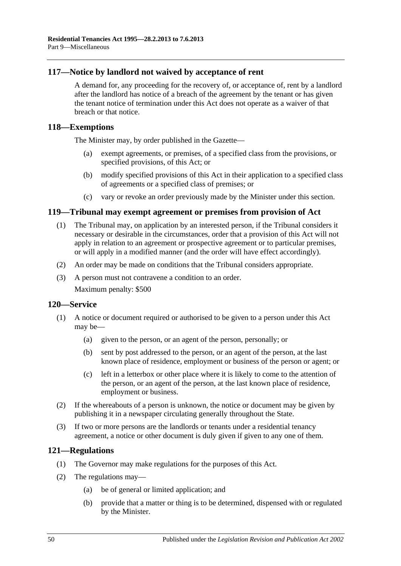### <span id="page-49-0"></span>**117—Notice by landlord not waived by acceptance of rent**

A demand for, any proceeding for the recovery of, or acceptance of, rent by a landlord after the landlord has notice of a breach of the agreement by the tenant or has given the tenant notice of termination under this Act does not operate as a waiver of that breach or that notice.

#### <span id="page-49-1"></span>**118—Exemptions**

The Minister may, by order published in the Gazette—

- (a) exempt agreements, or premises, of a specified class from the provisions, or specified provisions, of this Act; or
- (b) modify specified provisions of this Act in their application to a specified class of agreements or a specified class of premises; or
- (c) vary or revoke an order previously made by the Minister under this section.

#### <span id="page-49-2"></span>**119—Tribunal may exempt agreement or premises from provision of Act**

- (1) The Tribunal may, on application by an interested person, if the Tribunal considers it necessary or desirable in the circumstances, order that a provision of this Act will not apply in relation to an agreement or prospective agreement or to particular premises, or will apply in a modified manner (and the order will have effect accordingly).
- (2) An order may be made on conditions that the Tribunal considers appropriate.
- (3) A person must not contravene a condition to an order. Maximum penalty: \$500

#### <span id="page-49-3"></span>**120—Service**

- (1) A notice or document required or authorised to be given to a person under this Act may be—
	- (a) given to the person, or an agent of the person, personally; or
	- (b) sent by post addressed to the person, or an agent of the person, at the last known place of residence, employment or business of the person or agent; or
	- (c) left in a letterbox or other place where it is likely to come to the attention of the person, or an agent of the person, at the last known place of residence, employment or business.
- (2) If the whereabouts of a person is unknown, the notice or document may be given by publishing it in a newspaper circulating generally throughout the State.
- (3) If two or more persons are the landlords or tenants under a residential tenancy agreement, a notice or other document is duly given if given to any one of them.

### <span id="page-49-4"></span>**121—Regulations**

- (1) The Governor may make regulations for the purposes of this Act.
- (2) The regulations may—
	- (a) be of general or limited application; and
	- (b) provide that a matter or thing is to be determined, dispensed with or regulated by the Minister.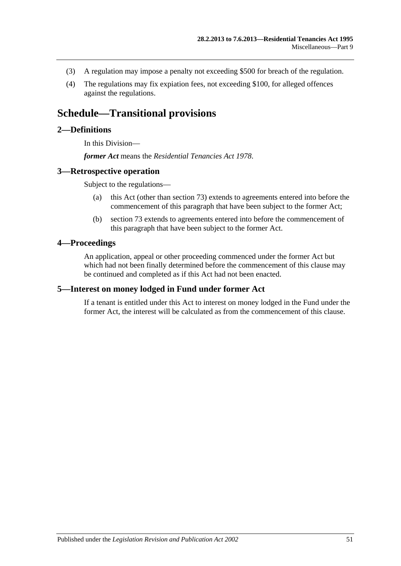- (3) A regulation may impose a penalty not exceeding \$500 for breach of the regulation.
- (4) The regulations may fix expiation fees, not exceeding \$100, for alleged offences against the regulations.

## <span id="page-50-0"></span>**Schedule—Transitional provisions**

### <span id="page-50-1"></span>**2—Definitions**

In this Division—

*former Act* means the *[Residential Tenancies Act](http://www.legislation.sa.gov.au/index.aspx?action=legref&type=act&legtitle=Residential%20Tenancies%20Act%201978) 1978*.

#### <span id="page-50-2"></span>**3—Retrospective operation**

Subject to the regulations—

- (a) this Act (other than [section](#page-31-1) 73) extends to agreements entered into before the commencement of this paragraph that have been subject to the former Act;
- (b) [section](#page-31-1) 73 extends to agreements entered into before the commencement of this paragraph that have been subject to the former Act.

#### <span id="page-50-3"></span>**4—Proceedings**

An application, appeal or other proceeding commenced under the former Act but which had not been finally determined before the commencement of this clause may be continued and completed as if this Act had not been enacted.

#### <span id="page-50-4"></span>**5—Interest on money lodged in Fund under former Act**

If a tenant is entitled under this Act to interest on money lodged in the Fund under the former Act, the interest will be calculated as from the commencement of this clause.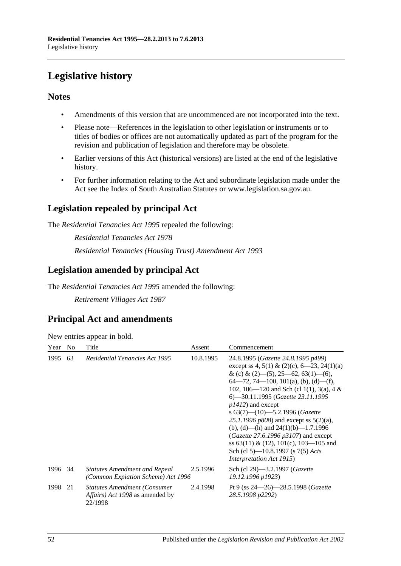# <span id="page-51-0"></span>**Legislative history**

## **Notes**

- Amendments of this version that are uncommenced are not incorporated into the text.
- Please note—References in the legislation to other legislation or instruments or to titles of bodies or offices are not automatically updated as part of the program for the revision and publication of legislation and therefore may be obsolete.
- Earlier versions of this Act (historical versions) are listed at the end of the legislative history.
- For further information relating to the Act and subordinate legislation made under the Act see the Index of South Australian Statutes or www.legislation.sa.gov.au.

## **Legislation repealed by principal Act**

The *Residential Tenancies Act 1995* repealed the following:

*Residential Tenancies Act 1978 Residential Tenancies (Housing Trust) Amendment Act 1993*

## **Legislation amended by principal Act**

The *Residential Tenancies Act 1995* amended the following:

*Retirement Villages Act 1987*

## **Principal Act and amendments**

| New entries appear in bold. |  |  |  |  |  |
|-----------------------------|--|--|--|--|--|
|-----------------------------|--|--|--|--|--|

| Year    | N <sub>0</sub> | Title                                                                              | Assent    | Commencement                                                                                                                                                                                                                                                                                                                                                                                                                                                                                                                                                             |
|---------|----------------|------------------------------------------------------------------------------------|-----------|--------------------------------------------------------------------------------------------------------------------------------------------------------------------------------------------------------------------------------------------------------------------------------------------------------------------------------------------------------------------------------------------------------------------------------------------------------------------------------------------------------------------------------------------------------------------------|
| 1995    | 63             | <b>Residential Tenancies Act 1995</b>                                              | 10.8.1995 | 24.8.1995 (Gazette 24.8.1995 p499)<br>except ss 4, 5(1) & (2)(c), $6-23$ , 24(1)(a)<br>& (c) & (2)–(5), 25–62, 63(1)–(6),<br>$64-72, 74-100, 101(a), (b), (d)-(f),$<br>102, 106—120 and Sch (cl 1(1), 3(a), 4 &<br>6—30.11.1995 (Gazette 23.11.1995<br>$p1412$ ) and except<br>s $63(7)$ — $(10)$ —5.2.1996 (Gazette<br>25.1.1996 $p808$ ) and except ss $5(2)(a)$ ,<br>(b), (d)—(h) and $24(1)(b)$ —1.7.1996<br>( <i>Gazette 27.6.1996 p3107</i> ) and except<br>ss 63(11) & (12), 101(c), 103—105 and<br>Sch (cl 5)—10.8.1997 (s 7(5) Acts<br>Interpretation Act 1915) |
| 1996 34 |                | <b>Statutes Amendment and Repeal</b><br>(Common Expiation Scheme) Act 1996         | 2.5.1996  | Sch (cl 29)—3.2.1997 ( <i>Gazette</i><br>19.12.1996 p1923)                                                                                                                                                                                                                                                                                                                                                                                                                                                                                                               |
| 1998    | 21             | <b>Statutes Amendment (Consumer)</b><br>Affairs) Act 1998 as amended by<br>22/1998 | 2.4.1998  | Pt 9 (ss $24 - 26$ ) - 28.5.1998 (Gazette<br>28.5.1998 p2292)                                                                                                                                                                                                                                                                                                                                                                                                                                                                                                            |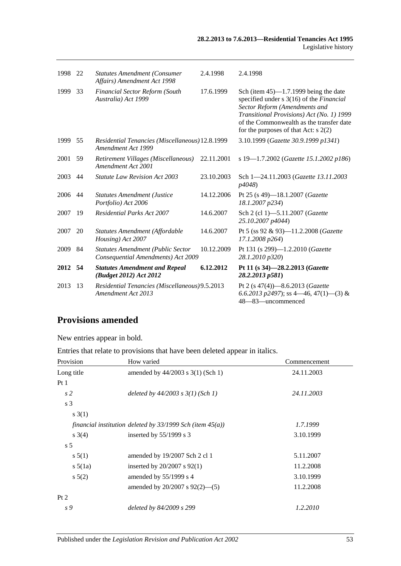| 1998 22 |    | <b>Statutes Amendment (Consumer</b><br>Affairs) Amendment Act 1998             | 2.4.1998   | 2.4.1998                                                                                                                                                                                                                                                 |
|---------|----|--------------------------------------------------------------------------------|------------|----------------------------------------------------------------------------------------------------------------------------------------------------------------------------------------------------------------------------------------------------------|
| 1999    | 33 | Financial Sector Reform (South<br>Australia) Act 1999                          | 17.6.1999  | Sch (item $45$ )—1.7.1999 being the date<br>specified under s 3(16) of the Financial<br>Sector Reform (Amendments and<br>Transitional Provisions) Act (No. 1) 1999<br>of the Commonwealth as the transfer date<br>for the purposes of that Act: $s$ 2(2) |
| 1999    | 55 | Residential Tenancies (Miscellaneous) 12.8.1999<br>Amendment Act 1999          |            | 3.10.1999 (Gazette 30.9.1999 p1341)                                                                                                                                                                                                                      |
| 2001    | 59 | Retirement Villages (Miscellaneous)<br>Amendment Act 2001                      | 22.11.2001 | s 19-1.7.2002 (Gazette 15.1.2002 p186)                                                                                                                                                                                                                   |
| 2003    | 44 | <b>Statute Law Revision Act 2003</b>                                           | 23.10.2003 | Sch 1-24.11.2003 (Gazette 13.11.2003<br>p4048)                                                                                                                                                                                                           |
| 2006    | 44 | <b>Statutes Amendment (Justice</b><br>Portfolio) Act 2006                      | 14.12.2006 | Pt 25 (s 49)-18.1.2007 ( <i>Gazette</i><br>18.1.2007 p234)                                                                                                                                                                                               |
| 2007    | 19 | <b>Residential Parks Act 2007</b>                                              | 14.6.2007  | Sch 2 (cl 1)-5.11.2007 (Gazette<br>25.10.2007 p4044)                                                                                                                                                                                                     |
| 2007    | 20 | Statutes Amendment (Affordable<br>Housing) Act 2007                            | 14.6.2007  | Pt 5 (ss 92 & 93)-11.2.2008 (Gazette<br>17.1.2008 p264)                                                                                                                                                                                                  |
| 2009    | 84 | <b>Statutes Amendment (Public Sector</b><br>Consequential Amendments) Act 2009 | 10.12.2009 | Pt 131 (s 299)-1.2.2010 (Gazette<br>28.1.2010 p320)                                                                                                                                                                                                      |
| 2012 54 |    | <b>Statutes Amendment and Repeal</b><br>(Budget 2012) Act 2012                 | 6.12.2012  | Pt 11 (s 34)-28.2.2013 (Gazette<br>28.2.2013 p581)                                                                                                                                                                                                       |
| 2013    | 13 | Residential Tenancies (Miscellaneous) 9.5.2013<br>Amendment Act 2013           |            | Pt 2 (s 47(4))-8.6.2013 (Gazette<br>6.6.2013 p2497); ss 4—46, 47(1)—(3) &<br>48-83-uncommenced                                                                                                                                                           |

## **Provisions amended**

New entries appear in bold.

Entries that relate to provisions that have been deleted appear in italics.

| Provision      | How varied                                                     | Commencement |
|----------------|----------------------------------------------------------------|--------------|
| Long title     | amended by $44/2003$ s $3(1)$ (Sch 1)                          | 24.11.2003   |
| Pt1            |                                                                |              |
| s <sub>2</sub> | deleted by $44/2003$ s $3(1)$ (Sch 1)                          | 24.11.2003   |
| s 3            |                                                                |              |
| s(1)           |                                                                |              |
|                | financial institution deleted by $33/1999$ Sch (item $45(a)$ ) | 1.7.1999     |
| $s \; 3(4)$    | inserted by $55/1999$ s 3                                      | 3.10.1999    |
| s <sub>5</sub> |                                                                |              |
| s 5(1)         | amended by $19/2007$ Sch 2 cl 1                                | 5.11.2007    |
| $s\,5(1a)$     | inserted by $20/2007$ s $92(1)$                                | 11.2.2008    |
| $s\,5(2)$      | amended by 55/1999 s 4                                         | 3.10.1999    |
|                | amended by $20/2007$ s $92(2)$ —(5)                            | 11.2.2008    |
| Pt 2           |                                                                |              |
| s 9            | deleted by 84/2009 s 299                                       | 1.2.2010     |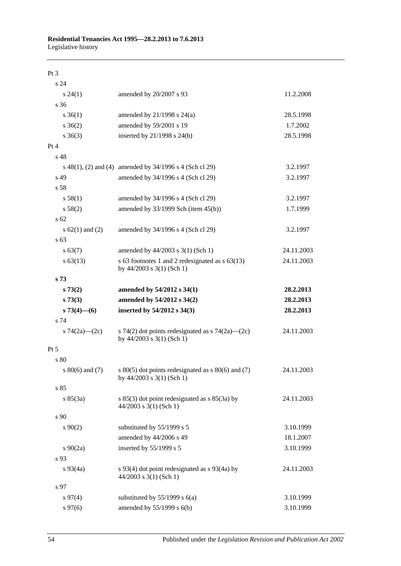#### Pt 3

| s 24                |                                                                                            |            |
|---------------------|--------------------------------------------------------------------------------------------|------------|
| s 24(1)             | amended by 20/2007 s 93                                                                    | 11.2.2008  |
| s 36                |                                                                                            |            |
| $s \; 36(1)$        | amended by $21/1998$ s $24(a)$                                                             | 28.5.1998  |
| $s \; 36(2)$        | amended by 59/2001 s 19                                                                    | 1.7.2002   |
| $s \; 36(3)$        | inserted by 21/1998 s 24(b)                                                                | 28.5.1998  |
| Pt 4                |                                                                                            |            |
| s <sub>48</sub>     |                                                                                            |            |
|                     | s $48(1)$ , (2) and (4) amended by $34/1996$ s 4 (Sch cl 29)                               | 3.2.1997   |
| s 49                | amended by 34/1996 s 4 (Sch cl 29)                                                         | 3.2.1997   |
| s 58                |                                                                                            |            |
| s 58(1)             | amended by 34/1996 s 4 (Sch cl 29)                                                         | 3.2.1997   |
| s 58(2)             | amended by $33/1999$ Sch (item $45(b)$ )                                                   | 1.7.1999   |
| s <sub>62</sub>     |                                                                                            |            |
| s $62(1)$ and $(2)$ | amended by 34/1996 s 4 (Sch cl 29)                                                         | 3.2.1997   |
| s 63                |                                                                                            |            |
| s 63(7)             | amended by 44/2003 s 3(1) (Sch 1)                                                          | 24.11.2003 |
| $s\,63(13)$         | s 63 footnotes 1 and 2 redesignated as s 63(13)<br>by 44/2003 s 3(1) (Sch 1)               | 24.11.2003 |
| s <sub>73</sub>     |                                                                                            |            |
| s 73(2)             | amended by 54/2012 s 34(1)                                                                 | 28.2.2013  |
| s 73(3)             | amended by 54/2012 s 34(2)                                                                 | 28.2.2013  |
| $s73(4)$ - (6)      | inserted by 54/2012 s 34(3)                                                                | 28.2.2013  |
| s 74                |                                                                                            |            |
| s 74(2a)—(2c)       | s 74(2) dot points redesignated as $\frac{5}{4}(2a)$ (2c)<br>by $44/2003$ s $3(1)$ (Sch 1) | 24.11.2003 |
| Pt 5                |                                                                                            |            |
| s 80                |                                                                                            |            |
| s $80(6)$ and $(7)$ | s $80(5)$ dot points redesignated as s $80(6)$ and (7)<br>by 44/2003 s 3(1) (Sch 1)        | 24.11.2003 |
| s 85                |                                                                                            |            |
| s 85(3a)            | s $85(3)$ dot point redesignated as s $85(3a)$ by<br>$44/2003$ s 3(1) (Sch 1)              | 24.11.2003 |
| s <sub>90</sub>     |                                                                                            |            |
| $s\,90(2)$          | substituted by 55/1999 s 5                                                                 | 3.10.1999  |
|                     | amended by 44/2006 s 49                                                                    | 18.1.2007  |
| $s \ 90(2a)$        | inserted by 55/1999 s 5                                                                    | 3.10.1999  |
| s 93                |                                                                                            |            |
| $s\,93(4a)$         | s $93(4)$ dot point redesignated as s $93(4a)$ by<br>$44/2003$ s 3(1) (Sch 1)              | 24.11.2003 |
| s 97                |                                                                                            |            |
| s 97(4)             | substituted by $55/1999$ s $6(a)$                                                          | 3.10.1999  |
| $s\,97(6)$          | amended by 55/1999 s 6(b)                                                                  | 3.10.1999  |
|                     |                                                                                            |            |